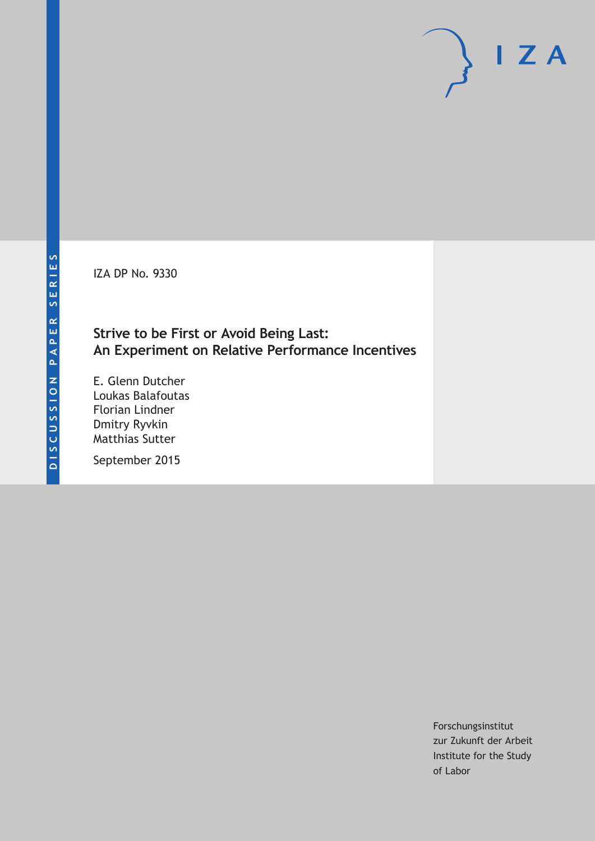IZA DP No. 9330

### **Strive to be First or Avoid Being Last: An Experiment on Relative Performance Incentives**

E. Glenn Dutcher Loukas Balafoutas Florian Lindner Dmitry Ryvkin Matthias Sutter

September 2015

Forschungsinstitut zur Zukunft der Arbeit Institute for the Study of Labor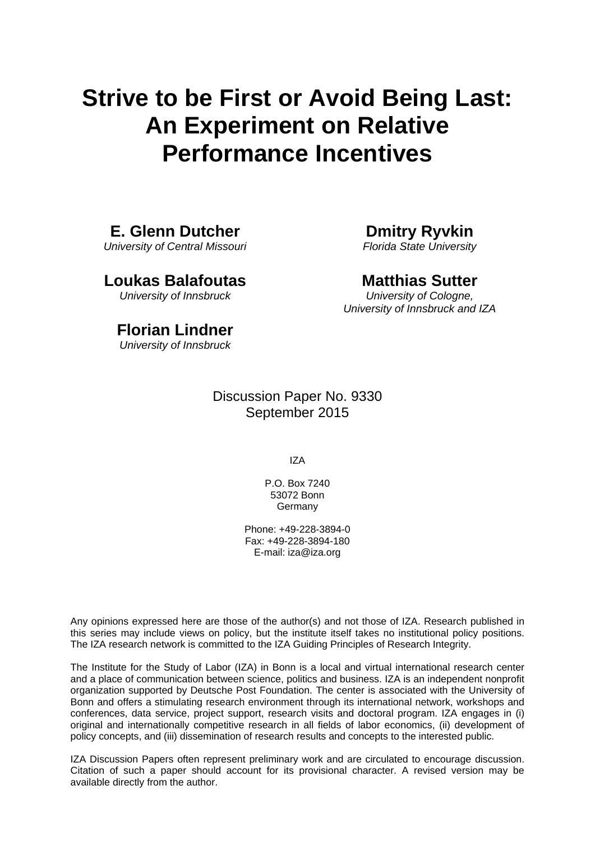# **Strive to be First or Avoid Being Last: An Experiment on Relative Performance Incentives**

**E. Glenn Dutcher** 

*University of Central Missouri* 

**Loukas Balafoutas** 

*University of Innsbruck* 

**Dmitry Ryvkin**  *Florida State University* 

**Matthias Sutter**  *University of Cologne, University of Innsbruck and IZA* 

### **Florian Lindner**

*University of Innsbruck*

Discussion Paper No. 9330 September 2015

IZA

P.O. Box 7240 53072 Bonn Germany

Phone: +49-228-3894-0 Fax: +49-228-3894-180 E-mail: iza@iza.org

Any opinions expressed here are those of the author(s) and not those of IZA. Research published in this series may include views on policy, but the institute itself takes no institutional policy positions. The IZA research network is committed to the IZA Guiding Principles of Research Integrity.

The Institute for the Study of Labor (IZA) in Bonn is a local and virtual international research center and a place of communication between science, politics and business. IZA is an independent nonprofit organization supported by Deutsche Post Foundation. The center is associated with the University of Bonn and offers a stimulating research environment through its international network, workshops and conferences, data service, project support, research visits and doctoral program. IZA engages in (i) original and internationally competitive research in all fields of labor economics, (ii) development of policy concepts, and (iii) dissemination of research results and concepts to the interested public.

IZA Discussion Papers often represent preliminary work and are circulated to encourage discussion. Citation of such a paper should account for its provisional character. A revised version may be available directly from the author.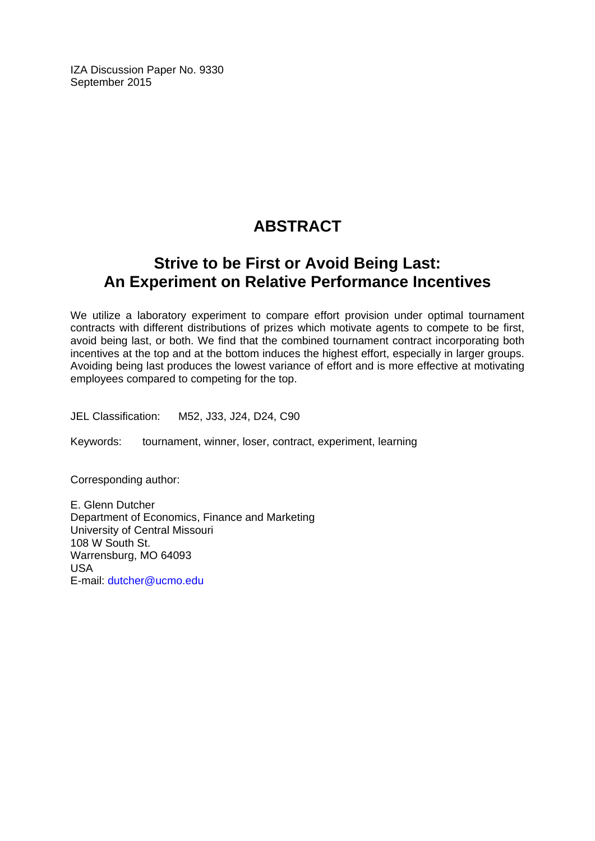IZA Discussion Paper No. 9330 September 2015

# **ABSTRACT**

# **Strive to be First or Avoid Being Last: An Experiment on Relative Performance Incentives**

We utilize a laboratory experiment to compare effort provision under optimal tournament contracts with different distributions of prizes which motivate agents to compete to be first, avoid being last, or both. We find that the combined tournament contract incorporating both incentives at the top and at the bottom induces the highest effort, especially in larger groups. Avoiding being last produces the lowest variance of effort and is more effective at motivating employees compared to competing for the top.

JEL Classification: M52, J33, J24, D24, C90

Keywords: tournament, winner, loser, contract, experiment, learning

Corresponding author:

E. Glenn Dutcher Department of Economics, Finance and Marketing University of Central Missouri 108 W South St. Warrensburg, MO 64093 USA E-mail: dutcher@ucmo.edu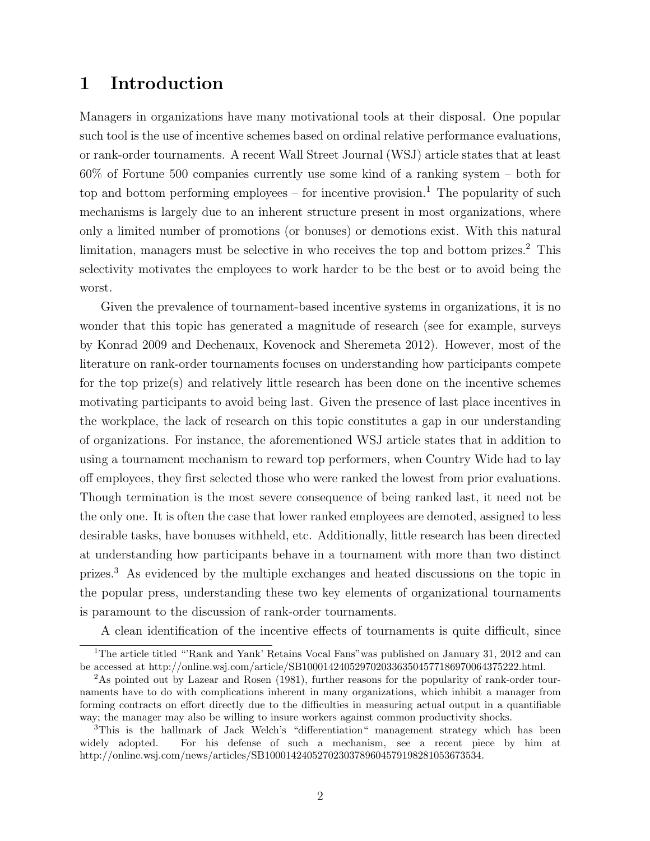# 1 Introduction

Managers in organizations have many motivational tools at their disposal. One popular such tool is the use of incentive schemes based on ordinal relative performance evaluations, or rank-order tournaments. A recent Wall Street Journal (WSJ) article states that at least 60% of Fortune 500 companies currently use some kind of a ranking system – both for top and bottom performing employees – for incentive provision.<sup>1</sup> The popularity of such mechanisms is largely due to an inherent structure present in most organizations, where only a limited number of promotions (or bonuses) or demotions exist. With this natural limitation, managers must be selective in who receives the top and bottom prizes.<sup>2</sup> This selectivity motivates the employees to work harder to be the best or to avoid being the worst.

Given the prevalence of tournament-based incentive systems in organizations, it is no wonder that this topic has generated a magnitude of research (see for example, surveys by Konrad 2009 and Dechenaux, Kovenock and Sheremeta 2012). However, most of the literature on rank-order tournaments focuses on understanding how participants compete for the top prize(s) and relatively little research has been done on the incentive schemes motivating participants to avoid being last. Given the presence of last place incentives in the workplace, the lack of research on this topic constitutes a gap in our understanding of organizations. For instance, the aforementioned WSJ article states that in addition to using a tournament mechanism to reward top performers, when Country Wide had to lay off employees, they first selected those who were ranked the lowest from prior evaluations. Though termination is the most severe consequence of being ranked last, it need not be the only one. It is often the case that lower ranked employees are demoted, assigned to less desirable tasks, have bonuses withheld, etc. Additionally, little research has been directed at understanding how participants behave in a tournament with more than two distinct prizes.<sup>3</sup> As evidenced by the multiple exchanges and heated discussions on the topic in the popular press, understanding these two key elements of organizational tournaments is paramount to the discussion of rank-order tournaments.

A clean identification of the incentive effects of tournaments is quite difficult, since

<sup>&</sup>lt;sup>1</sup>The article titled "'Rank and Yank' Retains Vocal Fans" was published on January 31, 2012 and can be accessed at http://online.wsj.com/article/SB10001424052970203363504577186970064375222.html.

<sup>2</sup>As pointed out by Lazear and Rosen (1981), further reasons for the popularity of rank-order tournaments have to do with complications inherent in many organizations, which inhibit a manager from forming contracts on effort directly due to the difficulties in measuring actual output in a quantifiable way; the manager may also be willing to insure workers against common productivity shocks.

<sup>3</sup>This is the hallmark of Jack Welch's "differentiation" management strategy which has been widely adopted. For his defense of such a mechanism, see a recent piece by him at http://online.wsj.com/news/articles/SB10001424052702303789604579198281053673534.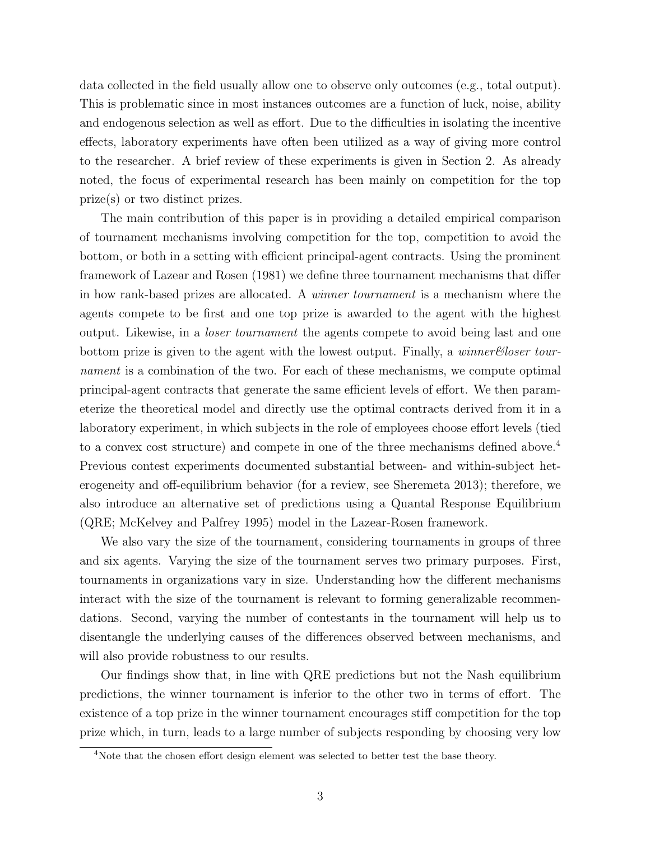data collected in the field usually allow one to observe only outcomes (e.g., total output). This is problematic since in most instances outcomes are a function of luck, noise, ability and endogenous selection as well as effort. Due to the difficulties in isolating the incentive effects, laboratory experiments have often been utilized as a way of giving more control to the researcher. A brief review of these experiments is given in Section 2. As already noted, the focus of experimental research has been mainly on competition for the top prize(s) or two distinct prizes.

The main contribution of this paper is in providing a detailed empirical comparison of tournament mechanisms involving competition for the top, competition to avoid the bottom, or both in a setting with efficient principal-agent contracts. Using the prominent framework of Lazear and Rosen (1981) we define three tournament mechanisms that differ in how rank-based prizes are allocated. A winner tournament is a mechanism where the agents compete to be first and one top prize is awarded to the agent with the highest output. Likewise, in a *loser tournament* the agents compete to avoid being last and one bottom prize is given to the agent with the lowest output. Finally, a *winner Sloser tour*nament is a combination of the two. For each of these mechanisms, we compute optimal principal-agent contracts that generate the same efficient levels of effort. We then parameterize the theoretical model and directly use the optimal contracts derived from it in a laboratory experiment, in which subjects in the role of employees choose effort levels (tied to a convex cost structure) and compete in one of the three mechanisms defined above.<sup>4</sup> Previous contest experiments documented substantial between- and within-subject heterogeneity and off-equilibrium behavior (for a review, see Sheremeta 2013); therefore, we also introduce an alternative set of predictions using a Quantal Response Equilibrium (QRE; McKelvey and Palfrey 1995) model in the Lazear-Rosen framework.

We also vary the size of the tournament, considering tournaments in groups of three and six agents. Varying the size of the tournament serves two primary purposes. First, tournaments in organizations vary in size. Understanding how the different mechanisms interact with the size of the tournament is relevant to forming generalizable recommendations. Second, varying the number of contestants in the tournament will help us to disentangle the underlying causes of the differences observed between mechanisms, and will also provide robustness to our results.

Our findings show that, in line with QRE predictions but not the Nash equilibrium predictions, the winner tournament is inferior to the other two in terms of effort. The existence of a top prize in the winner tournament encourages stiff competition for the top prize which, in turn, leads to a large number of subjects responding by choosing very low

<sup>4</sup>Note that the chosen effort design element was selected to better test the base theory.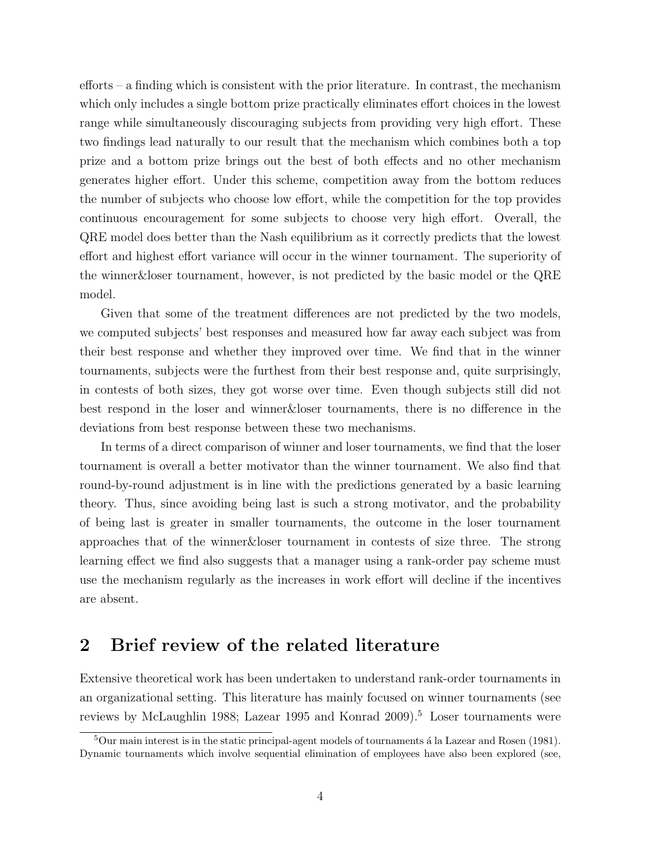efforts – a finding which is consistent with the prior literature. In contrast, the mechanism which only includes a single bottom prize practically eliminates effort choices in the lowest range while simultaneously discouraging subjects from providing very high effort. These two findings lead naturally to our result that the mechanism which combines both a top prize and a bottom prize brings out the best of both effects and no other mechanism generates higher effort. Under this scheme, competition away from the bottom reduces the number of subjects who choose low effort, while the competition for the top provides continuous encouragement for some subjects to choose very high effort. Overall, the QRE model does better than the Nash equilibrium as it correctly predicts that the lowest effort and highest effort variance will occur in the winner tournament. The superiority of the winner&loser tournament, however, is not predicted by the basic model or the QRE model.

Given that some of the treatment differences are not predicted by the two models, we computed subjects' best responses and measured how far away each subject was from their best response and whether they improved over time. We find that in the winner tournaments, subjects were the furthest from their best response and, quite surprisingly, in contests of both sizes, they got worse over time. Even though subjects still did not best respond in the loser and winner&loser tournaments, there is no difference in the deviations from best response between these two mechanisms.

In terms of a direct comparison of winner and loser tournaments, we find that the loser tournament is overall a better motivator than the winner tournament. We also find that round-by-round adjustment is in line with the predictions generated by a basic learning theory. Thus, since avoiding being last is such a strong motivator, and the probability of being last is greater in smaller tournaments, the outcome in the loser tournament approaches that of the winner&loser tournament in contests of size three. The strong learning effect we find also suggests that a manager using a rank-order pay scheme must use the mechanism regularly as the increases in work effort will decline if the incentives are absent.

# 2 Brief review of the related literature

Extensive theoretical work has been undertaken to understand rank-order tournaments in an organizational setting. This literature has mainly focused on winner tournaments (see reviews by McLaughlin 1988; Lazear 1995 and Konrad 2009).<sup>5</sup> Loser tournaments were

 $5$ Our main interest is in the static principal-agent models of tournaments á la Lazear and Rosen (1981). Dynamic tournaments which involve sequential elimination of employees have also been explored (see,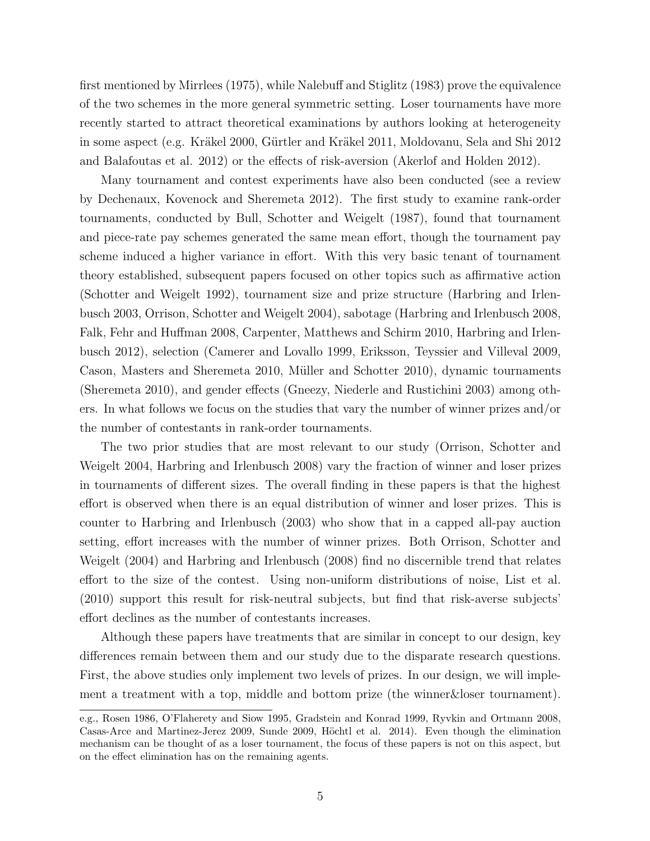first mentioned by Mirrlees (1975), while Nalebuff and Stiglitz (1983) prove the equivalence of the two schemes in the more general symmetric setting. Loser tournaments have more recently started to attract theoretical examinations by authors looking at heterogeneity in some aspect (e.g. Kräkel 2000, Gürtler and Kräkel 2011, Moldovanu, Sela and Shi 2012 and Balafoutas et al. 2012) or the effects of risk-aversion (Akerlof and Holden 2012).

Many tournament and contest experiments have also been conducted (see a review by Dechenaux, Kovenock and Sheremeta 2012). The first study to examine rank-order tournaments, conducted by Bull, Schotter and Weigelt (1987), found that tournament and piece-rate pay schemes generated the same mean effort, though the tournament pay scheme induced a higher variance in effort. With this very basic tenant of tournament theory established, subsequent papers focused on other topics such as affirmative action (Schotter and Weigelt 1992), tournament size and prize structure (Harbring and Irlenbusch 2003, Orrison, Schotter and Weigelt 2004), sabotage (Harbring and Irlenbusch 2008, Falk, Fehr and Huffman 2008, Carpenter, Matthews and Schirm 2010, Harbring and Irlenbusch 2012), selection (Camerer and Lovallo 1999, Eriksson, Teyssier and Villeval 2009, Cason, Masters and Sheremeta 2010, Müller and Schotter 2010), dynamic tournaments (Sheremeta 2010), and gender effects (Gneezy, Niederle and Rustichini 2003) among others. In what follows we focus on the studies that vary the number of winner prizes and/or the number of contestants in rank-order tournaments.

The two prior studies that are most relevant to our study (Orrison, Schotter and Weigelt 2004, Harbring and Irlenbusch 2008) vary the fraction of winner and loser prizes in tournaments of different sizes. The overall finding in these papers is that the highest effort is observed when there is an equal distribution of winner and loser prizes. This is counter to Harbring and Irlenbusch (2003) who show that in a capped all-pay auction setting, effort increases with the number of winner prizes. Both Orrison, Schotter and Weigelt (2004) and Harbring and Irlenbusch (2008) find no discernible trend that relates effort to the size of the contest. Using non-uniform distributions of noise, List et al. (2010) support this result for risk-neutral subjects, but find that risk-averse subjects' effort declines as the number of contestants increases.

Although these papers have treatments that are similar in concept to our design, key differences remain between them and our study due to the disparate research questions. First, the above studies only implement two levels of prizes. In our design, we will implement a treatment with a top, middle and bottom prize (the winner&loser tournament).

e.g., Rosen 1986, O'Flaherety and Siow 1995, Gradstein and Konrad 1999, Ryvkin and Ortmann 2008, Casas-Arce and Martinez-Jerez 2009, Sunde 2009, Höchtl et al. 2014). Even though the elimination mechanism can be thought of as a loser tournament, the focus of these papers is not on this aspect, but on the effect elimination has on the remaining agents.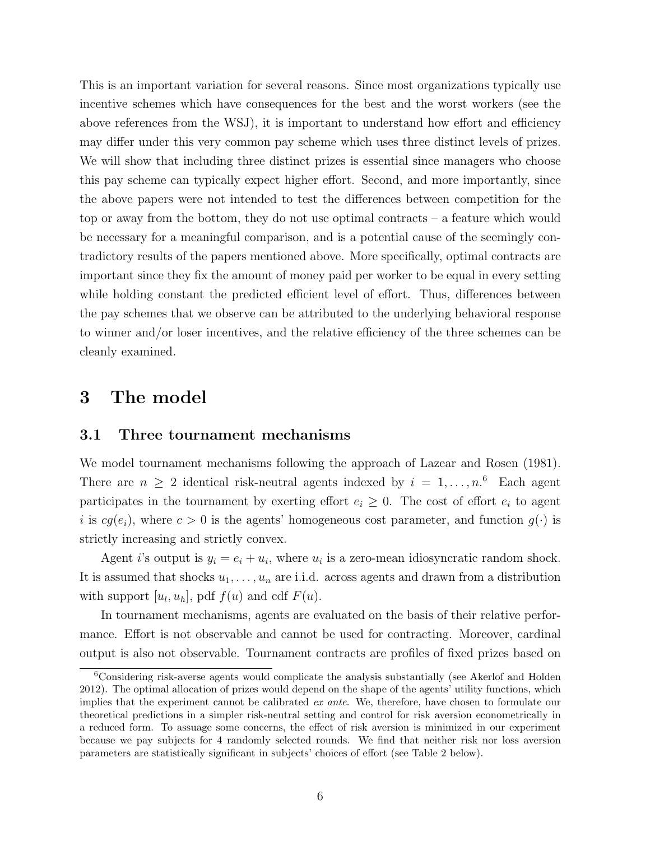This is an important variation for several reasons. Since most organizations typically use incentive schemes which have consequences for the best and the worst workers (see the above references from the WSJ), it is important to understand how effort and efficiency may differ under this very common pay scheme which uses three distinct levels of prizes. We will show that including three distinct prizes is essential since managers who choose this pay scheme can typically expect higher effort. Second, and more importantly, since the above papers were not intended to test the differences between competition for the top or away from the bottom, they do not use optimal contracts – a feature which would be necessary for a meaningful comparison, and is a potential cause of the seemingly contradictory results of the papers mentioned above. More specifically, optimal contracts are important since they fix the amount of money paid per worker to be equal in every setting while holding constant the predicted efficient level of effort. Thus, differences between the pay schemes that we observe can be attributed to the underlying behavioral response to winner and/or loser incentives, and the relative efficiency of the three schemes can be cleanly examined.

### 3 The model

#### 3.1 Three tournament mechanisms

We model tournament mechanisms following the approach of Lazear and Rosen (1981). There are  $n \geq 2$  identical risk-neutral agents indexed by  $i = 1, \ldots, n$ .<sup>6</sup> Each agent participates in the tournament by exerting effort  $e_i \geq 0$ . The cost of effort  $e_i$  to agent i is  $cg(e_i)$ , where  $c > 0$  is the agents' homogeneous cost parameter, and function  $g(\cdot)$  is strictly increasing and strictly convex.

Agent *i*'s output is  $y_i = e_i + u_i$ , where  $u_i$  is a zero-mean idiosyncratic random shock. It is assumed that shocks  $u_1, \ldots, u_n$  are i.i.d. across agents and drawn from a distribution with support  $[u_l, u_h]$ , pdf  $f(u)$  and cdf  $F(u)$ .

In tournament mechanisms, agents are evaluated on the basis of their relative performance. Effort is not observable and cannot be used for contracting. Moreover, cardinal output is also not observable. Tournament contracts are profiles of fixed prizes based on

<sup>6</sup>Considering risk-averse agents would complicate the analysis substantially (see Akerlof and Holden 2012). The optimal allocation of prizes would depend on the shape of the agents' utility functions, which implies that the experiment cannot be calibrated ex ante. We, therefore, have chosen to formulate our theoretical predictions in a simpler risk-neutral setting and control for risk aversion econometrically in a reduced form. To assuage some concerns, the effect of risk aversion is minimized in our experiment because we pay subjects for 4 randomly selected rounds. We find that neither risk nor loss aversion parameters are statistically significant in subjects' choices of effort (see Table 2 below).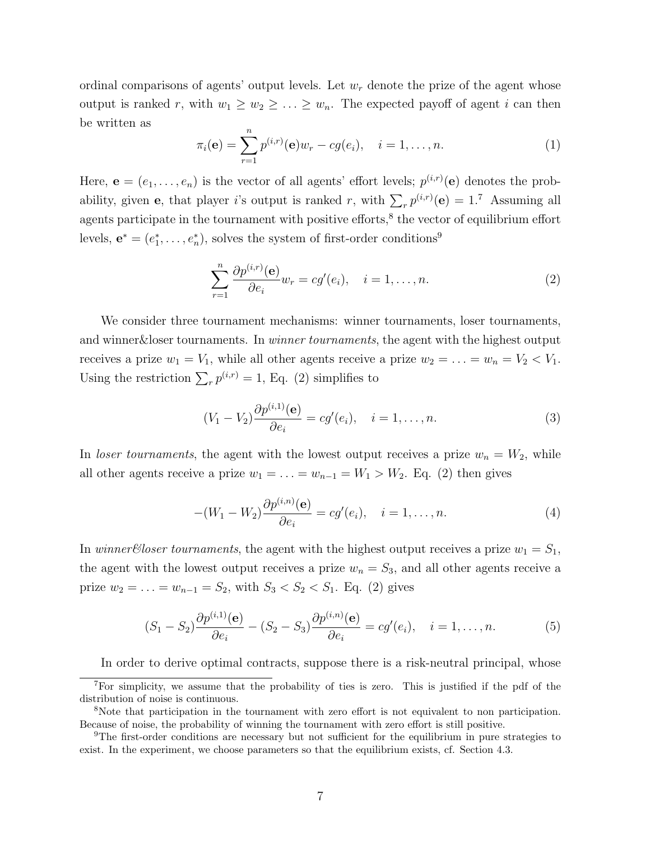ordinal comparisons of agents' output levels. Let  $w_r$  denote the prize of the agent whose output is ranked r, with  $w_1 \geq w_2 \geq \ldots \geq w_n$ . The expected payoff of agent i can then be written as

$$
\pi_i(\mathbf{e}) = \sum_{r=1}^n p^{(i,r)}(\mathbf{e}) w_r - c g(e_i), \quad i = 1, \dots, n.
$$
 (1)

Here,  $\mathbf{e} = (e_1, \ldots, e_n)$  is the vector of all agents' effort levels;  $p^{(i,r)}(\mathbf{e})$  denotes the probability, given **e**, that player *i*'s output is ranked *r*, with  $\sum_{r} p^{(i,r)}(\mathbf{e}) = 1$ .<sup>7</sup> Assuming all agents participate in the tournament with positive efforts,<sup>8</sup> the vector of equilibrium effort levels,  $e^* = (e_1^*, \ldots, e_n^*)$ , solves the system of first-order conditions<sup>9</sup>

$$
\sum_{r=1}^{n} \frac{\partial p^{(i,r)}(\mathbf{e})}{\partial e_i} w_r = cg'(e_i), \quad i = 1, \dots, n.
$$
 (2)

We consider three tournament mechanisms: winner tournaments, loser tournaments, and winner & loser tournaments. In *winner tournaments*, the agent with the highest output receives a prize  $w_1 = V_1$ , while all other agents receive a prize  $w_2 = \ldots = w_n = V_2 < V_1$ . Using the restriction  $\sum_{r} p^{(i,r)} = 1$ , Eq. (2) simplifies to

$$
(V_1 - V_2) \frac{\partial p^{(i,1)}(e)}{\partial e_i} = cg'(e_i), \quad i = 1, ..., n.
$$
 (3)

In loser tournaments, the agent with the lowest output receives a prize  $w_n = W_2$ , while all other agents receive a prize  $w_1 = \ldots = w_{n-1} = W_1 > W_2$ . Eq. (2) then gives

$$
-(W_1 - W_2)\frac{\partial p^{(i,n)}(\mathbf{e})}{\partial e_i} = cg'(e_i), \quad i = 1, \dots, n.
$$
 (4)

In winner & loser tournaments, the agent with the highest output receives a prize  $w_1 = S_1$ , the agent with the lowest output receives a prize  $w_n = S_3$ , and all other agents receive a prize  $w_2 = \ldots = w_{n-1} = S_2$ , with  $S_3 < S_2 < S_1$ . Eq. (2) gives

$$
(S_1 - S_2) \frac{\partial p^{(i,1)}(\mathbf{e})}{\partial e_i} - (S_2 - S_3) \frac{\partial p^{(i,n)}(\mathbf{e})}{\partial e_i} = cg'(e_i), \quad i = 1, ..., n.
$$
 (5)

In order to derive optimal contracts, suppose there is a risk-neutral principal, whose

<sup>7</sup>For simplicity, we assume that the probability of ties is zero. This is justified if the pdf of the distribution of noise is continuous.

<sup>&</sup>lt;sup>8</sup>Note that participation in the tournament with zero effort is not equivalent to non participation. Because of noise, the probability of winning the tournament with zero effort is still positive.

<sup>9</sup>The first-order conditions are necessary but not sufficient for the equilibrium in pure strategies to exist. In the experiment, we choose parameters so that the equilibrium exists, cf. Section 4.3.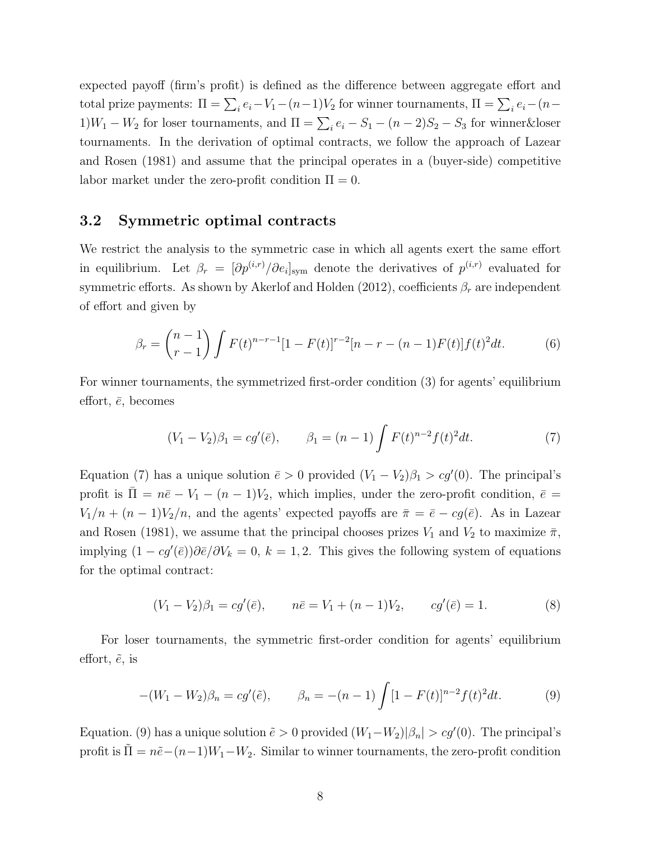expected payoff (firm's profit) is defined as the difference between aggregate effort and total prize payments:  $\Pi = \sum_i e_i - V_1 - (n-1)V_2$  for winner tournaments,  $\Pi = \sum_i e_i - (n-1)V_1$  $1)W_1 - W_2$  for loser tournaments, and  $\Pi = \sum_i e_i - S_1 - (n-2)S_2 - S_3$  for winner&loser tournaments. In the derivation of optimal contracts, we follow the approach of Lazear and Rosen (1981) and assume that the principal operates in a (buyer-side) competitive labor market under the zero-profit condition  $\Pi = 0$ .

### 3.2 Symmetric optimal contracts

We restrict the analysis to the symmetric case in which all agents exert the same effort in equilibrium. Let  $\beta_r = [\partial p^{(i,r)}/\partial e_i]_{sym}$  denote the derivatives of  $p^{(i,r)}$  evaluated for symmetric efforts. As shown by Akerlof and Holden (2012), coefficients  $\beta_r$  are independent of effort and given by

$$
\beta_r = \binom{n-1}{r-1} \int F(t)^{n-r-1} [1 - F(t)]^{r-2} [n - r - (n-1)F(t)] f(t)^2 dt.
$$
 (6)

For winner tournaments, the symmetrized first-order condition (3) for agents' equilibrium effort,  $\bar{e}$ , becomes

$$
(V_1 - V_2)\beta_1 = cg'(\bar{e}), \qquad \beta_1 = (n-1)\int F(t)^{n-2}f(t)^2dt.
$$
 (7)

Equation (7) has a unique solution  $\bar{e} > 0$  provided  $(V_1 - V_2)\beta_1 > cg'(0)$ . The principal's profit is  $\bar{\Pi} = n\bar{e} - V_1 - (n-1)V_2$ , which implies, under the zero-profit condition,  $\bar{e} =$  $V_1/n + (n-1)V_2/n$ , and the agents' expected payoffs are  $\bar{\pi} = \bar{e} - cg(\bar{e})$ . As in Lazear and Rosen (1981), we assume that the principal chooses prizes  $V_1$  and  $V_2$  to maximize  $\bar{\pi}$ , implying  $(1 - cg'(\bar{e}))\partial \bar{e}/\partial V_k = 0, k = 1, 2$ . This gives the following system of equations for the optimal contract:

$$
(V_1 - V_2)\beta_1 = cg'(\bar{e}), \qquad n\bar{e} = V_1 + (n-1)V_2, \qquad cg'(\bar{e}) = 1.
$$
 (8)

For loser tournaments, the symmetric first-order condition for agents' equilibrium effort,  $\tilde{e}$ , is

$$
-(W_1 - W_2)\beta_n = cg'(\tilde{e}), \qquad \beta_n = -(n-1)\int [1 - F(t)]^{n-2} f(t)^2 dt.
$$
 (9)

Equation. (9) has a unique solution  $\tilde{e} > 0$  provided  $(W_1-W_2)|\beta_n| > cg'(0)$ . The principal's profit is  $\Pi = n\tilde{e}-(n-1)W_1-W_2$ . Similar to winner tournaments, the zero-profit condition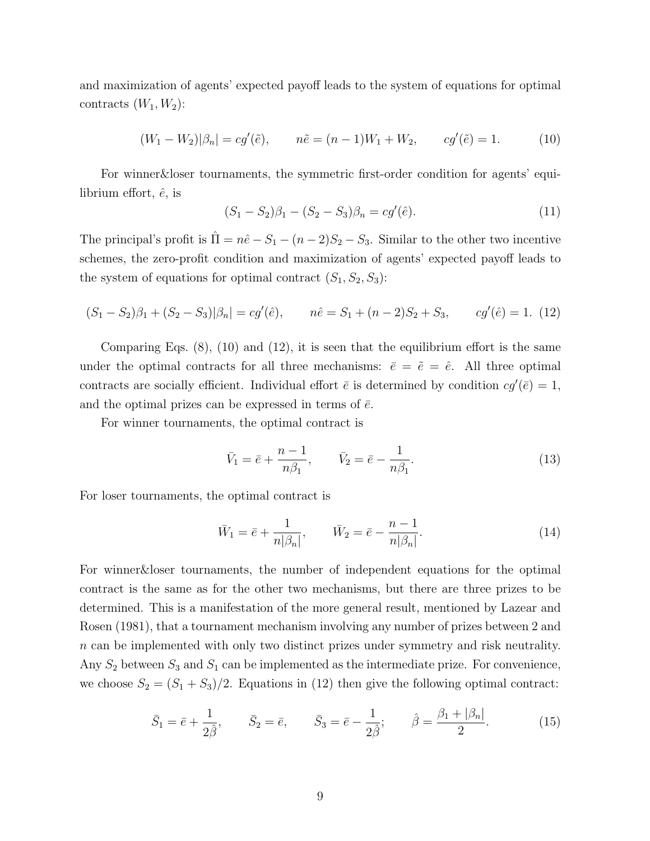and maximization of agents' expected payoff leads to the system of equations for optimal contracts  $(W_1, W_2)$ :

$$
(W_1 - W_2)|\beta_n| = cg'(\tilde{e}), \qquad n\tilde{e} = (n-1)W_1 + W_2, \qquad cg'(\tilde{e}) = 1.
$$
 (10)

For winner&loser tournaments, the symmetric first-order condition for agents' equilibrium effort,  $\hat{e}$ , is

$$
(S_1 - S_2)\beta_1 - (S_2 - S_3)\beta_n = cg'(\hat{e}).
$$
\n(11)

The principal's profit is  $\hat{\Pi} = n\hat{e} - S_1 - (n-2)S_2 - S_3$ . Similar to the other two incentive schemes, the zero-profit condition and maximization of agents' expected payoff leads to the system of equations for optimal contract  $(S_1, S_2, S_3)$ :

$$
(S_1 - S_2)\beta_1 + (S_2 - S_3)|\beta_n| = cg'(\hat{e}), \qquad n\hat{e} = S_1 + (n-2)S_2 + S_3, \qquad cg'(\hat{e}) = 1.
$$
 (12)

Comparing Eqs.  $(8)$ ,  $(10)$  and  $(12)$ , it is seen that the equilibrium effort is the same under the optimal contracts for all three mechanisms:  $\bar{e} = \tilde{e} = \hat{e}$ . All three optimal contracts are socially efficient. Individual effort  $\bar{e}$  is determined by condition  $cg'(\bar{e}) = 1$ , and the optimal prizes can be expressed in terms of  $\bar{e}$ .

For winner tournaments, the optimal contract is

$$
\bar{V}_1 = \bar{e} + \frac{n-1}{n\beta_1}, \qquad \bar{V}_2 = \bar{e} - \frac{1}{n\beta_1}.
$$
\n(13)

For loser tournaments, the optimal contract is

$$
\bar{W}_1 = \bar{e} + \frac{1}{n|\beta_n|}, \qquad \bar{W}_2 = \bar{e} - \frac{n-1}{n|\beta_n|}.
$$
\n(14)

For winner&loser tournaments, the number of independent equations for the optimal contract is the same as for the other two mechanisms, but there are three prizes to be determined. This is a manifestation of the more general result, mentioned by Lazear and Rosen (1981), that a tournament mechanism involving any number of prizes between 2 and n can be implemented with only two distinct prizes under symmetry and risk neutrality. Any  $S_2$  between  $S_3$  and  $S_1$  can be implemented as the intermediate prize. For convenience, we choose  $S_2 = (S_1 + S_3)/2$ . Equations in (12) then give the following optimal contract:

$$
\bar{S}_1 = \bar{e} + \frac{1}{2\hat{\beta}}, \qquad \bar{S}_2 = \bar{e}, \qquad \bar{S}_3 = \bar{e} - \frac{1}{2\hat{\beta}}; \qquad \hat{\beta} = \frac{\beta_1 + |\beta_n|}{2}.
$$
 (15)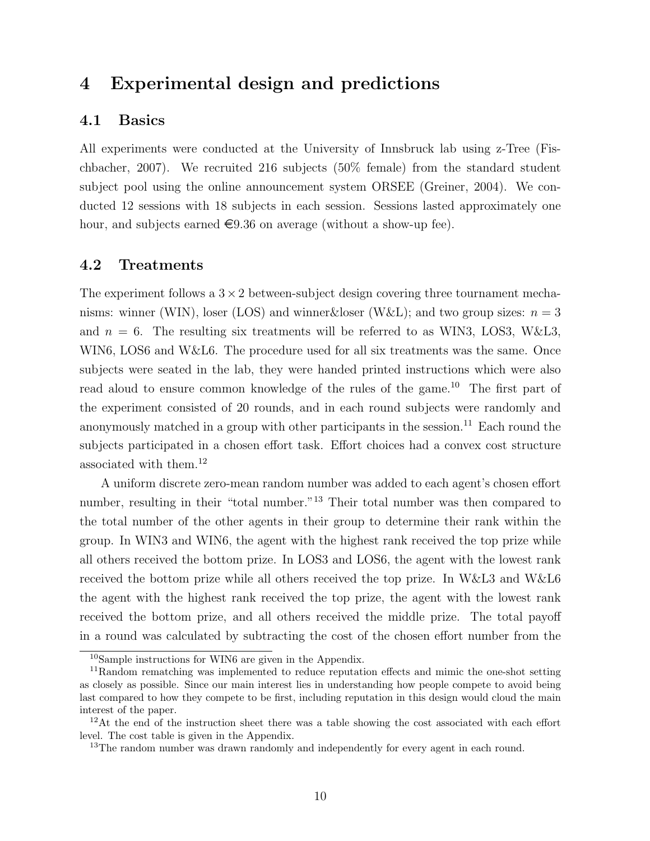### 4 Experimental design and predictions

#### 4.1 Basics

All experiments were conducted at the University of Innsbruck lab using z-Tree (Fischbacher, 2007). We recruited 216 subjects (50% female) from the standard student subject pool using the online announcement system ORSEE (Greiner, 2004). We conducted 12 sessions with 18 subjects in each session. Sessions lasted approximately one hour, and subjects earned  $\in 9.36$  on average (without a show-up fee).

### 4.2 Treatments

The experiment follows a  $3 \times 2$  between-subject design covering three tournament mechanisms: winner (WIN), loser (LOS) and winner & loser (W & L); and two group sizes:  $n = 3$ and  $n = 6$ . The resulting six treatments will be referred to as WIN3, LOS3, W&L3, WIN6, LOS6 and W&L6. The procedure used for all six treatments was the same. Once subjects were seated in the lab, they were handed printed instructions which were also read aloud to ensure common knowledge of the rules of the game.<sup>10</sup> The first part of the experiment consisted of 20 rounds, and in each round subjects were randomly and anonymously matched in a group with other participants in the session.<sup>11</sup> Each round the subjects participated in a chosen effort task. Effort choices had a convex cost structure associated with them.<sup>12</sup>

A uniform discrete zero-mean random number was added to each agent's chosen effort number, resulting in their "total number."<sup>13</sup> Their total number was then compared to the total number of the other agents in their group to determine their rank within the group. In WIN3 and WIN6, the agent with the highest rank received the top prize while all others received the bottom prize. In LOS3 and LOS6, the agent with the lowest rank received the bottom prize while all others received the top prize. In W&L3 and W&L6 the agent with the highest rank received the top prize, the agent with the lowest rank received the bottom prize, and all others received the middle prize. The total payoff in a round was calculated by subtracting the cost of the chosen effort number from the

 $10$ Sample instructions for WIN6 are given in the Appendix.

<sup>&</sup>lt;sup>11</sup>Random rematching was implemented to reduce reputation effects and mimic the one-shot setting as closely as possible. Since our main interest lies in understanding how people compete to avoid being last compared to how they compete to be first, including reputation in this design would cloud the main interest of the paper.

 $12$ At the end of the instruction sheet there was a table showing the cost associated with each effort level. The cost table is given in the Appendix.

<sup>&</sup>lt;sup>13</sup>The random number was drawn randomly and independently for every agent in each round.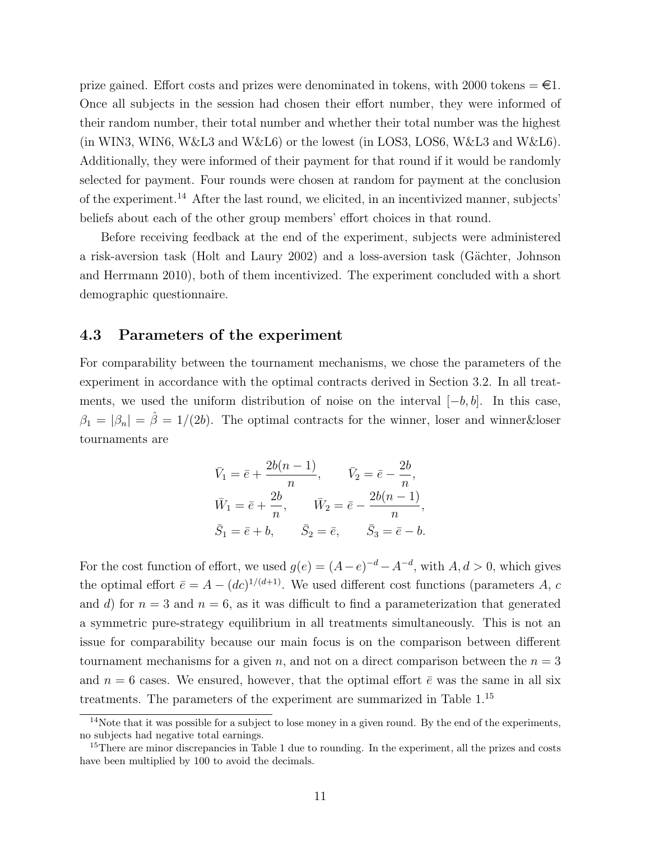prize gained. Effort costs and prizes were denominated in tokens, with 2000 tokens  $= \epsilon 1$ . Once all subjects in the session had chosen their effort number, they were informed of their random number, their total number and whether their total number was the highest  $\rm (in WIN3, WIN6, W\&L3 and W\&L6)$  or the lowest  $\rm (in LOS3, LOS6, W\&L3 and W\&L6).$ Additionally, they were informed of their payment for that round if it would be randomly selected for payment. Four rounds were chosen at random for payment at the conclusion of the experiment.<sup>14</sup> After the last round, we elicited, in an incentivized manner, subjects' beliefs about each of the other group members' effort choices in that round.

Before receiving feedback at the end of the experiment, subjects were administered a risk-aversion task (Holt and Laury 2002) and a loss-aversion task (G¨achter, Johnson and Herrmann 2010), both of them incentivized. The experiment concluded with a short demographic questionnaire.

### 4.3 Parameters of the experiment

For comparability between the tournament mechanisms, we chose the parameters of the experiment in accordance with the optimal contracts derived in Section 3.2. In all treatments, we used the uniform distribution of noise on the interval  $[-b, b]$ . In this case,  $\beta_1 = |\beta_n| = \hat{\beta} = 1/(2b)$ . The optimal contracts for the winner, loser and winner&loser tournaments are

$$
\bar{V}_1 = \bar{e} + \frac{2b(n-1)}{n}, \qquad \bar{V}_2 = \bar{e} - \frac{2b}{n}, \n\bar{W}_1 = \bar{e} + \frac{2b}{n}, \qquad \bar{W}_2 = \bar{e} - \frac{2b(n-1)}{n}, \n\bar{S}_1 = \bar{e} + b, \qquad \bar{S}_2 = \bar{e}, \qquad \bar{S}_3 = \bar{e} - b.
$$

For the cost function of effort, we used  $g(e) = (A - e)^{-d} - A^{-d}$ , with  $A, d > 0$ , which gives the optimal effort  $\bar{e} = A - (dc)^{1/(d+1)}$ . We used different cost functions (parameters A, c and d) for  $n = 3$  and  $n = 6$ , as it was difficult to find a parameterization that generated a symmetric pure-strategy equilibrium in all treatments simultaneously. This is not an issue for comparability because our main focus is on the comparison between different tournament mechanisms for a given n, and not on a direct comparison between the  $n = 3$ and  $n = 6$  cases. We ensured, however, that the optimal effort  $\bar{e}$  was the same in all six treatments. The parameters of the experiment are summarized in Table 1.<sup>15</sup>

<sup>&</sup>lt;sup>14</sup>Note that it was possible for a subject to lose money in a given round. By the end of the experiments, no subjects had negative total earnings.

 $15$ There are minor discrepancies in Table 1 due to rounding. In the experiment, all the prizes and costs have been multiplied by 100 to avoid the decimals.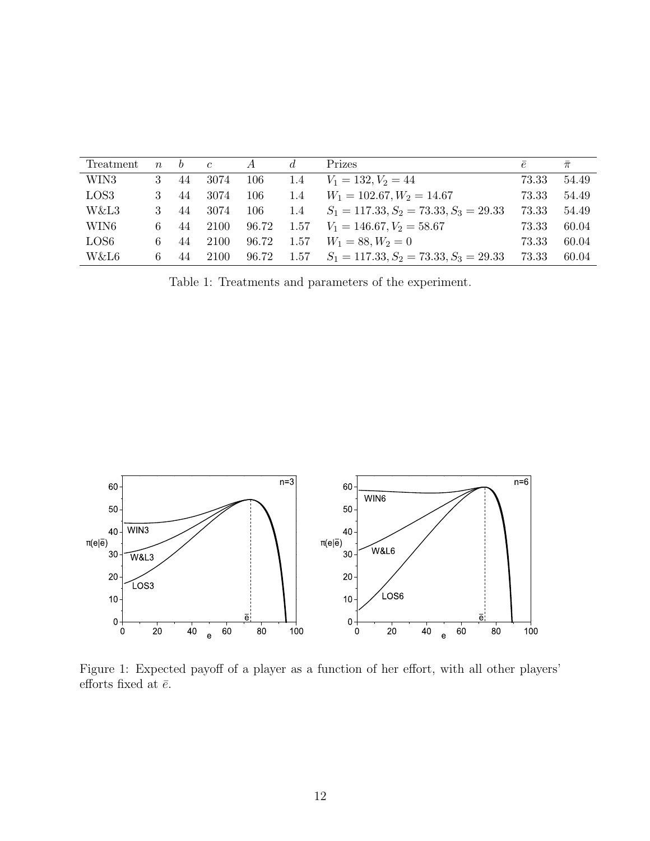| Treatment        |               | $n \quad b$ | $\overline{c}$ | $\overline{A}$ | d.   | Prizes                                              | $\bar{e}$ | $\bar{\pi}$ |
|------------------|---------------|-------------|----------------|----------------|------|-----------------------------------------------------|-----------|-------------|
| WIN3             | 3             | 44          | 3074           | 106            | 1.4  | $V_1 = 132, V_2 = 44$                               | 73.33     | 54.49       |
| LOS <sub>3</sub> | $\mathcal{S}$ | 44          | 3074           | 106            | 1.4  | $W_1 = 102.67, W_2 = 14.67$                         | 73.33     | 54.49       |
| W&L3             | 3             | 44          | 3074           | 106            |      | 1.4 $S_1 = 117.33, S_2 = 73.33, S_3 = 29.33$        | 73.33     | 54.49       |
| WIN6             | 6.            | 44          | 2100           | 96.72          |      | 1.57 $V_1 = 146.67, V_2 = 58.67$                    | 73.33     | 60.04       |
| LOS <sub>6</sub> | 6             | 44          | 2100           | 96.72          | 1.57 | $W_1 = 88, W_2 = 0$                                 | 73.33     | 60.04       |
| W&L6             | 6             | 44          | 2100           |                |      | 96.72 1.57 $S_1 = 117.33, S_2 = 73.33, S_3 = 29.33$ | 73.33     | 60.04       |

Table 1: Treatments and parameters of the experiment.



Figure 1: Expected payoff of a player as a function of her effort, with all other players' efforts fixed at  $\bar{e}.$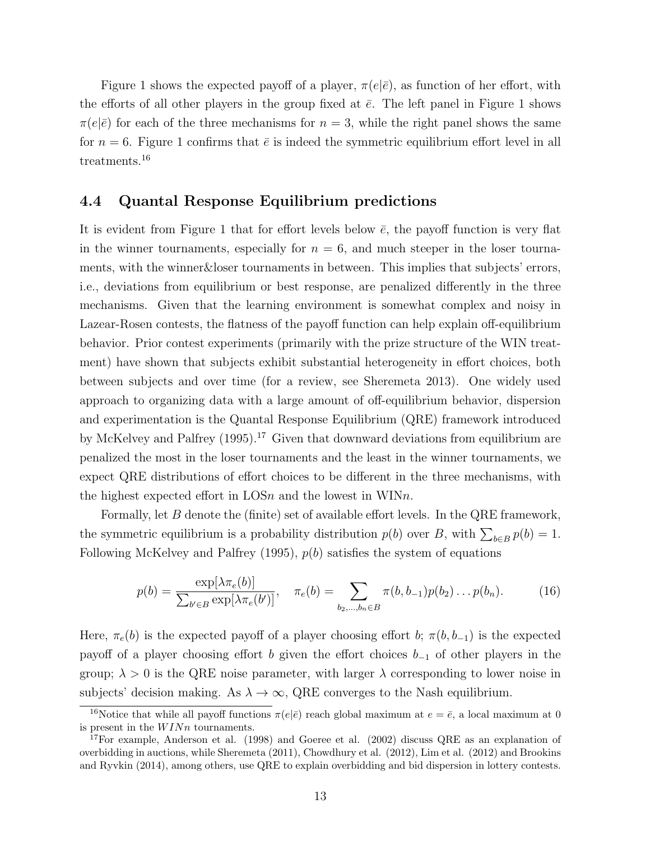Figure 1 shows the expected payoff of a player,  $\pi(e|\bar{e})$ , as function of her effort, with the efforts of all other players in the group fixed at  $\bar{e}$ . The left panel in Figure 1 shows  $\pi(e|\bar{e})$  for each of the three mechanisms for  $n=3$ , while the right panel shows the same for  $n = 6$ . Figure 1 confirms that  $\bar{e}$  is indeed the symmetric equilibrium effort level in all treatments.<sup>16</sup>

### 4.4 Quantal Response Equilibrium predictions

It is evident from Figure 1 that for effort levels below  $\bar{e}$ , the payoff function is very flat in the winner tournaments, especially for  $n = 6$ , and much steeper in the loser tournaments, with the winner&loser tournaments in between. This implies that subjects' errors, i.e., deviations from equilibrium or best response, are penalized differently in the three mechanisms. Given that the learning environment is somewhat complex and noisy in Lazear-Rosen contests, the flatness of the payoff function can help explain off-equilibrium behavior. Prior contest experiments (primarily with the prize structure of the WIN treatment) have shown that subjects exhibit substantial heterogeneity in effort choices, both between subjects and over time (for a review, see Sheremeta 2013). One widely used approach to organizing data with a large amount of off-equilibrium behavior, dispersion and experimentation is the Quantal Response Equilibrium (QRE) framework introduced by McKelvey and Palfrey (1995).<sup>17</sup> Given that downward deviations from equilibrium are penalized the most in the loser tournaments and the least in the winner tournaments, we expect QRE distributions of effort choices to be different in the three mechanisms, with the highest expected effort in  $\text{LOS}n$  and the lowest in WINn.

Formally, let B denote the (finite) set of available effort levels. In the QRE framework, the symmetric equilibrium is a probability distribution  $p(b)$  over B, with  $\sum_{b \in B} p(b) = 1$ . Following McKelvey and Palfrey (1995),  $p(b)$  satisfies the system of equations

$$
p(b) = \frac{\exp[\lambda \pi_e(b)]}{\sum_{b' \in B} \exp[\lambda \pi_e(b')]}, \quad \pi_e(b) = \sum_{b_2, \dots, b_n \in B} \pi(b, b_{-1}) p(b_2) \dots p(b_n).
$$
 (16)

Here,  $\pi_e(b)$  is the expected payoff of a player choosing effort b;  $\pi(b, b_{-1})$  is the expected payoff of a player choosing effort b given the effort choices  $b_{-1}$  of other players in the group;  $\lambda > 0$  is the QRE noise parameter, with larger  $\lambda$  corresponding to lower noise in subjects' decision making. As  $\lambda \to \infty$ , QRE converges to the Nash equilibrium.

<sup>&</sup>lt;sup>16</sup>Notice that while all payoff functions  $\pi(e|\bar{e})$  reach global maximum at  $e = \bar{e}$ , a local maximum at 0 is present in the  $WINn$  tournaments.

<sup>&</sup>lt;sup>17</sup>For example, Anderson et al. (1998) and Goeree et al. (2002) discuss QRE as an explanation of overbidding in auctions, while Sheremeta (2011), Chowdhury et al. (2012), Lim et al. (2012) and Brookins and Ryvkin (2014), among others, use QRE to explain overbidding and bid dispersion in lottery contests.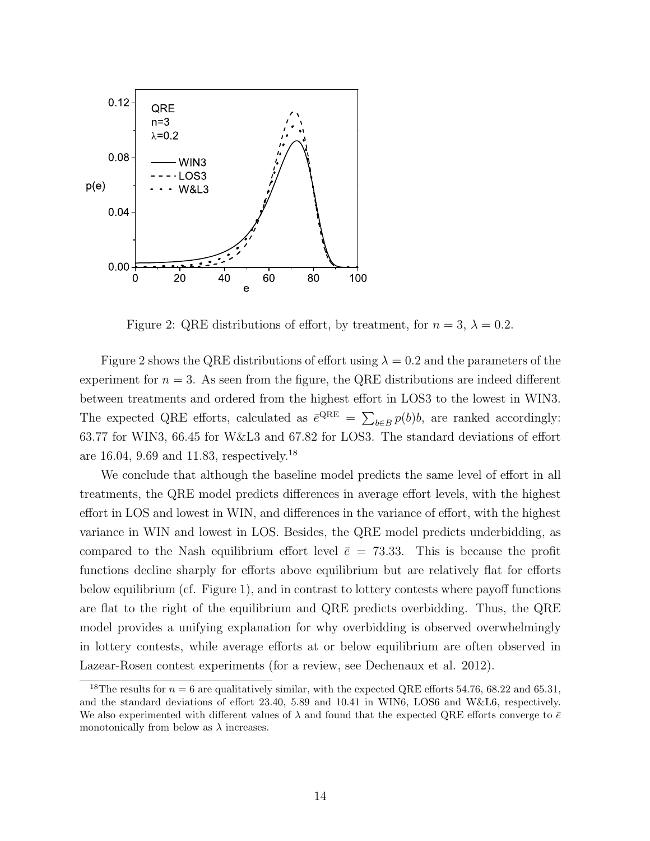

Figure 2: QRE distributions of effort, by treatment, for  $n = 3$ ,  $\lambda = 0.2$ .

Figure 2 shows the QRE distributions of effort using  $\lambda = 0.2$  and the parameters of the experiment for  $n = 3$ . As seen from the figure, the QRE distributions are indeed different between treatments and ordered from the highest effort in LOS3 to the lowest in WIN3. The expected QRE efforts, calculated as  $\bar{e}^{\text{QRE}} = \sum_{b \in B} p(b)b$ , are ranked accordingly: 63.77 for WIN3, 66.45 for W&L3 and 67.82 for LOS3. The standard deviations of effort are 16.04, 9.69 and 11.83, respectively.<sup>18</sup>

We conclude that although the baseline model predicts the same level of effort in all treatments, the QRE model predicts differences in average effort levels, with the highest effort in LOS and lowest in WIN, and differences in the variance of effort, with the highest variance in WIN and lowest in LOS. Besides, the QRE model predicts underbidding, as compared to the Nash equilibrium effort level  $\bar{e} = 73.33$ . This is because the profit functions decline sharply for efforts above equilibrium but are relatively flat for efforts below equilibrium (cf. Figure 1), and in contrast to lottery contests where payoff functions are flat to the right of the equilibrium and QRE predicts overbidding. Thus, the QRE model provides a unifying explanation for why overbidding is observed overwhelmingly in lottery contests, while average efforts at or below equilibrium are often observed in Lazear-Rosen contest experiments (for a review, see Dechenaux et al. 2012).

<sup>&</sup>lt;sup>18</sup>The results for  $n = 6$  are qualitatively similar, with the expected QRE efforts 54.76, 68.22 and 65.31, and the standard deviations of effort 23.40, 5.89 and 10.41 in WIN6, LOS6 and W&L6, respectively. We also experimented with different values of  $\lambda$  and found that the expected QRE efforts converge to  $\bar{e}$ monotonically from below as  $\lambda$  increases.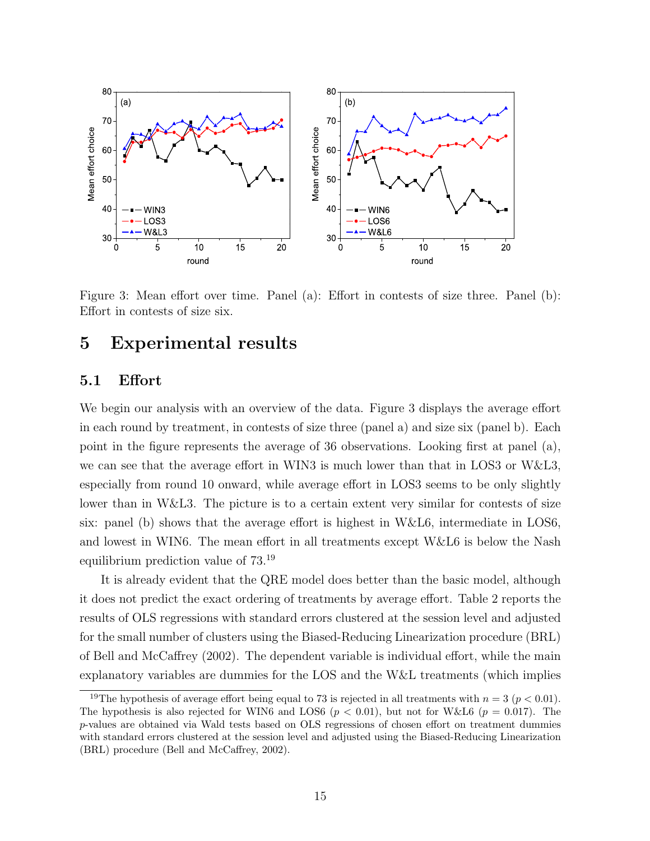

Figure 3: Mean effort over time. Panel (a): Effort in contests of size three. Panel (b): Effort in contests of size six.

### 5 Experimental results

### 5.1 Effort

We begin our analysis with an overview of the data. Figure 3 displays the average effort in each round by treatment, in contests of size three (panel a) and size six (panel b). Each point in the figure represents the average of 36 observations. Looking first at panel (a), we can see that the average effort in WIN3 is much lower than that in LOS3 or W&L3, especially from round 10 onward, while average effort in LOS3 seems to be only slightly lower than in W&L3. The picture is to a certain extent very similar for contests of size six: panel (b) shows that the average effort is highest in W&L6, intermediate in LOS6, and lowest in WIN6. The mean effort in all treatments except W&L6 is below the Nash equilibrium prediction value of 73.<sup>19</sup>

It is already evident that the QRE model does better than the basic model, although it does not predict the exact ordering of treatments by average effort. Table 2 reports the results of OLS regressions with standard errors clustered at the session level and adjusted for the small number of clusters using the Biased-Reducing Linearization procedure (BRL) of Bell and McCaffrey (2002). The dependent variable is individual effort, while the main explanatory variables are dummies for the LOS and the W&L treatments (which implies

<sup>&</sup>lt;sup>19</sup>The hypothesis of average effort being equal to 73 is rejected in all treatments with  $n = 3$  ( $p < 0.01$ ). The hypothesis is also rejected for WIN6 and LOS6 ( $p < 0.01$ ), but not for W&L6 ( $p = 0.017$ ). The p-values are obtained via Wald tests based on OLS regressions of chosen effort on treatment dummies with standard errors clustered at the session level and adjusted using the Biased-Reducing Linearization (BRL) procedure (Bell and McCaffrey, 2002).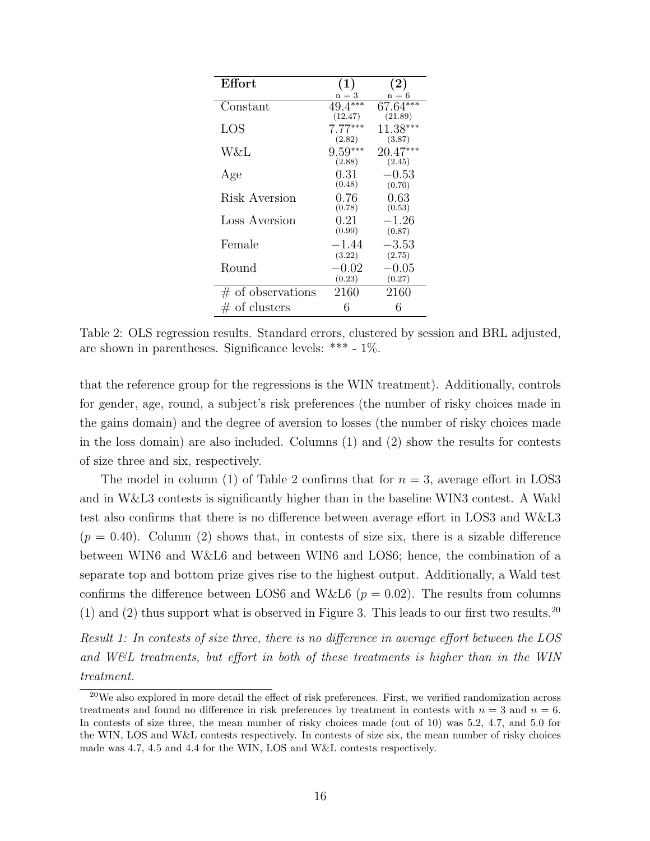| Effort              | (1)       | $\left( 2\right)$ |
|---------------------|-----------|-------------------|
|                     | $n = 3$   | $n = 6$           |
| Constant            | 49.4***   | 67.64***          |
|                     | (12.47)   | (21.89)           |
| LOS                 | $7.77***$ | $11.38***$        |
|                     | (2.82)    | (3.87)            |
| W&L                 | $9.59***$ | $20.47***$        |
|                     | (2.88)    | (2.45)            |
| Age                 | 0.31      | $-0.53\,$         |
|                     | (0.48)    | (0.70)            |
| Risk Aversion       | 0.76      | 0.63              |
|                     | (0.78)    | (0.53)            |
| Loss Aversion       | 0.21      | $-1.26\,$         |
|                     | (0.99)    | (0.87)            |
| Female              | $-1.44$   | $-3.53$           |
|                     | (3.22)    | (2.75)            |
| Round               | $-0.02\,$ | $-0.05\,$         |
|                     | (0.23)    | (0.27)            |
| $#$ of observations | 2160      | 2160              |
| $#$ of clusters     | 6         | 6                 |
|                     |           |                   |

Table 2: OLS regression results. Standard errors, clustered by session and BRL adjusted, are shown in parentheses. Significance levels: \*\*\* - 1%.

that the reference group for the regressions is the WIN treatment). Additionally, controls for gender, age, round, a subject's risk preferences (the number of risky choices made in the gains domain) and the degree of aversion to losses (the number of risky choices made in the loss domain) are also included. Columns (1) and (2) show the results for contests of size three and six, respectively.

The model in column (1) of Table 2 confirms that for  $n = 3$ , average effort in LOS3 and in W&L3 contests is significantly higher than in the baseline WIN3 contest. A Wald test also confirms that there is no difference between average effort in LOS3 and W&L3  $(p = 0.40)$ . Column (2) shows that, in contests of size six, there is a sizable difference between WIN6 and W&L6 and between WIN6 and LOS6; hence, the combination of a separate top and bottom prize gives rise to the highest output. Additionally, a Wald test confirms the difference between LOS6 and W&L6 ( $p = 0.02$ ). The results from columns (1) and (2) thus support what is observed in Figure 3. This leads to our first two results.<sup>20</sup>

Result 1: In contests of size three, there is no difference in average effort between the LOS and W&L treatments, but effort in both of these treatments is higher than in the WIN treatment.

<sup>&</sup>lt;sup>20</sup>We also explored in more detail the effect of risk preferences. First, we verified randomization across treatments and found no difference in risk preferences by treatment in contests with  $n = 3$  and  $n = 6$ . In contests of size three, the mean number of risky choices made (out of 10) was 5.2, 4.7, and 5.0 for the WIN, LOS and W&L contests respectively. In contests of size six, the mean number of risky choices made was 4.7, 4.5 and 4.4 for the WIN, LOS and W&L contests respectively.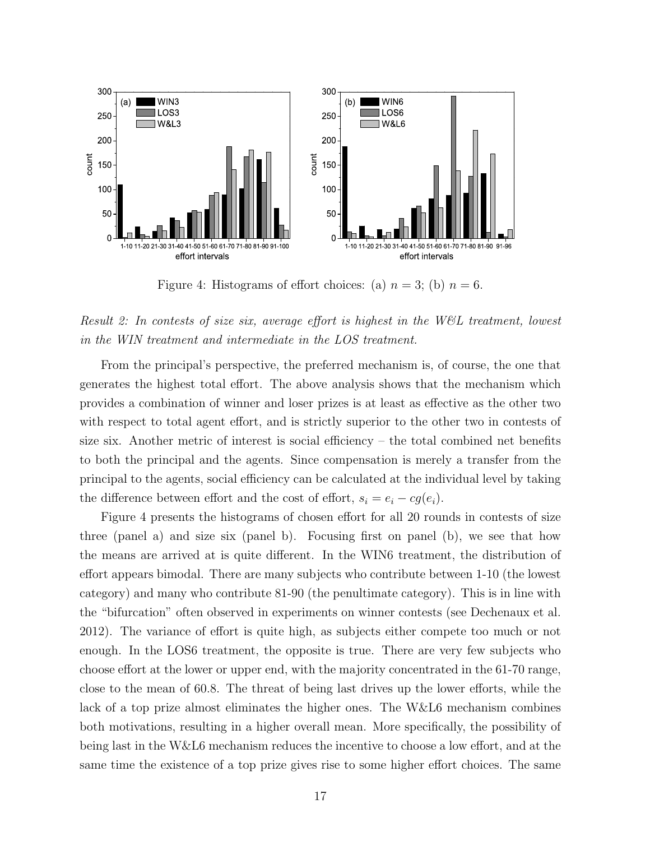

Figure 4: Histograms of effort choices: (a)  $n = 3$ ; (b)  $n = 6$ .

### Result 2: In contests of size six, average effort is highest in the W&L treatment, lowest in the WIN treatment and intermediate in the LOS treatment.

From the principal's perspective, the preferred mechanism is, of course, the one that generates the highest total effort. The above analysis shows that the mechanism which provides a combination of winner and loser prizes is at least as effective as the other two with respect to total agent effort, and is strictly superior to the other two in contests of size six. Another metric of interest is social efficiency – the total combined net benefits to both the principal and the agents. Since compensation is merely a transfer from the principal to the agents, social efficiency can be calculated at the individual level by taking the difference between effort and the cost of effort,  $s_i = e_i - cg(e_i)$ .

Figure 4 presents the histograms of chosen effort for all 20 rounds in contests of size three (panel a) and size six (panel b). Focusing first on panel (b), we see that how the means are arrived at is quite different. In the WIN6 treatment, the distribution of effort appears bimodal. There are many subjects who contribute between 1-10 (the lowest category) and many who contribute 81-90 (the penultimate category). This is in line with the "bifurcation" often observed in experiments on winner contests (see Dechenaux et al. 2012). The variance of effort is quite high, as subjects either compete too much or not enough. In the LOS6 treatment, the opposite is true. There are very few subjects who choose effort at the lower or upper end, with the majority concentrated in the 61-70 range, close to the mean of 60.8. The threat of being last drives up the lower efforts, while the lack of a top prize almost eliminates the higher ones. The W&L6 mechanism combines both motivations, resulting in a higher overall mean. More specifically, the possibility of being last in the W&L6 mechanism reduces the incentive to choose a low effort, and at the same time the existence of a top prize gives rise to some higher effort choices. The same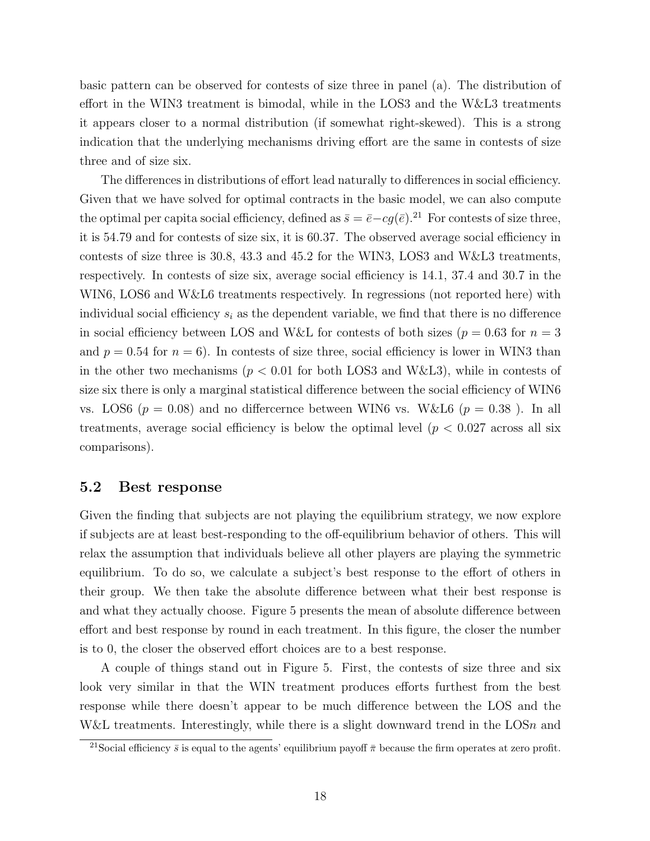basic pattern can be observed for contests of size three in panel (a). The distribution of effort in the WIN3 treatment is bimodal, while in the LOS3 and the W&L3 treatments it appears closer to a normal distribution (if somewhat right-skewed). This is a strong indication that the underlying mechanisms driving effort are the same in contests of size three and of size six.

The differences in distributions of effort lead naturally to differences in social efficiency. Given that we have solved for optimal contracts in the basic model, we can also compute the optimal per capita social efficiency, defined as  $\bar{s} = \bar{e} - cg(\bar{e})^{21}$ . For contests of size three, it is 54.79 and for contests of size six, it is 60.37. The observed average social efficiency in contests of size three is 30.8, 43.3 and 45.2 for the WIN3, LOS3 and W&L3 treatments, respectively. In contests of size six, average social efficiency is 14.1, 37.4 and 30.7 in the WIN6, LOS6 and W&L6 treatments respectively. In regressions (not reported here) with individual social efficiency  $s_i$  as the dependent variable, we find that there is no difference in social efficiency between LOS and W&L for contests of both sizes ( $p = 0.63$  for  $n = 3$ ) and  $p = 0.54$  for  $n = 6$ ). In contests of size three, social efficiency is lower in WIN3 than in the other two mechanisms ( $p < 0.01$  for both LOS3 and W&L3), while in contests of size six there is only a marginal statistical difference between the social efficiency of WIN6 vs. LOS6 ( $p = 0.08$ ) and no difference between WIN6 vs. W&L6 ( $p = 0.38$ ). In all treatments, average social efficiency is below the optimal level ( $p < 0.027$  across all six comparisons).

### 5.2 Best response

Given the finding that subjects are not playing the equilibrium strategy, we now explore if subjects are at least best-responding to the off-equilibrium behavior of others. This will relax the assumption that individuals believe all other players are playing the symmetric equilibrium. To do so, we calculate a subject's best response to the effort of others in their group. We then take the absolute difference between what their best response is and what they actually choose. Figure 5 presents the mean of absolute difference between effort and best response by round in each treatment. In this figure, the closer the number is to 0, the closer the observed effort choices are to a best response.

A couple of things stand out in Figure 5. First, the contests of size three and six look very similar in that the WIN treatment produces efforts furthest from the best response while there doesn't appear to be much difference between the LOS and the W&L treatments. Interestingly, while there is a slight downward trend in the LOSn and

<sup>&</sup>lt;sup>21</sup>Social efficiency  $\bar{s}$  is equal to the agents' equilibrium payoff  $\bar{\pi}$  because the firm operates at zero profit.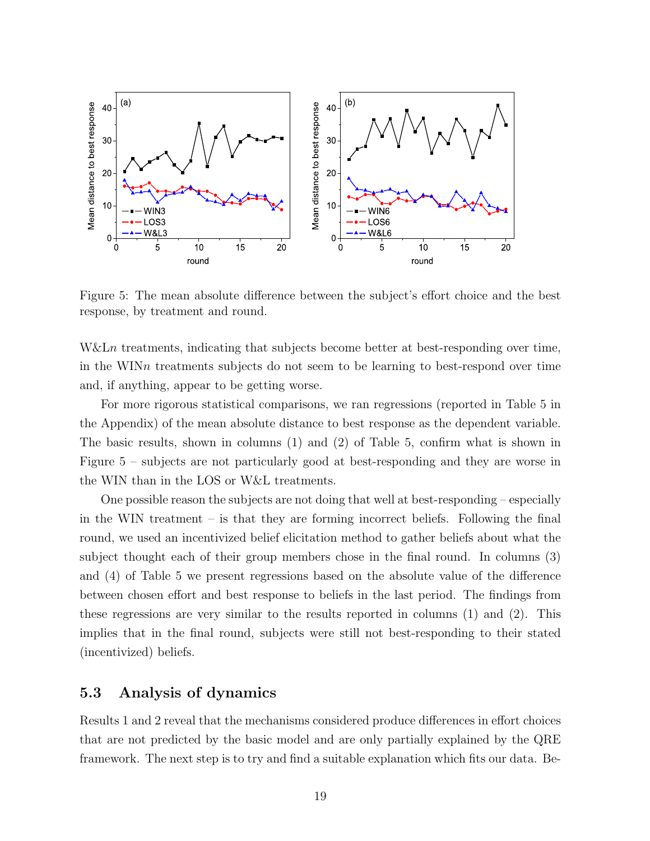

Figure 5: The mean absolute difference between the subject's effort choice and the best response, by treatment and round.

W&Ln treatments, indicating that subjects become better at best-responding over time, in the WINn treatments subjects do not seem to be learning to best-respond over time and, if anything, appear to be getting worse.

For more rigorous statistical comparisons, we ran regressions (reported in Table 5 in the Appendix) of the mean absolute distance to best response as the dependent variable. The basic results, shown in columns (1) and (2) of Table 5, confirm what is shown in Figure 5 – subjects are not particularly good at best-responding and they are worse in the WIN than in the LOS or W&L treatments.

One possible reason the subjects are not doing that well at best-responding – especially in the WIN treatment – is that they are forming incorrect beliefs. Following the final round, we used an incentivized belief elicitation method to gather beliefs about what the subject thought each of their group members chose in the final round. In columns (3) and (4) of Table 5 we present regressions based on the absolute value of the difference between chosen effort and best response to beliefs in the last period. The findings from these regressions are very similar to the results reported in columns (1) and (2). This implies that in the final round, subjects were still not best-responding to their stated (incentivized) beliefs.

#### 5.3 Analysis of dynamics

Results 1 and 2 reveal that the mechanisms considered produce differences in effort choices that are not predicted by the basic model and are only partially explained by the QRE framework. The next step is to try and find a suitable explanation which fits our data. Be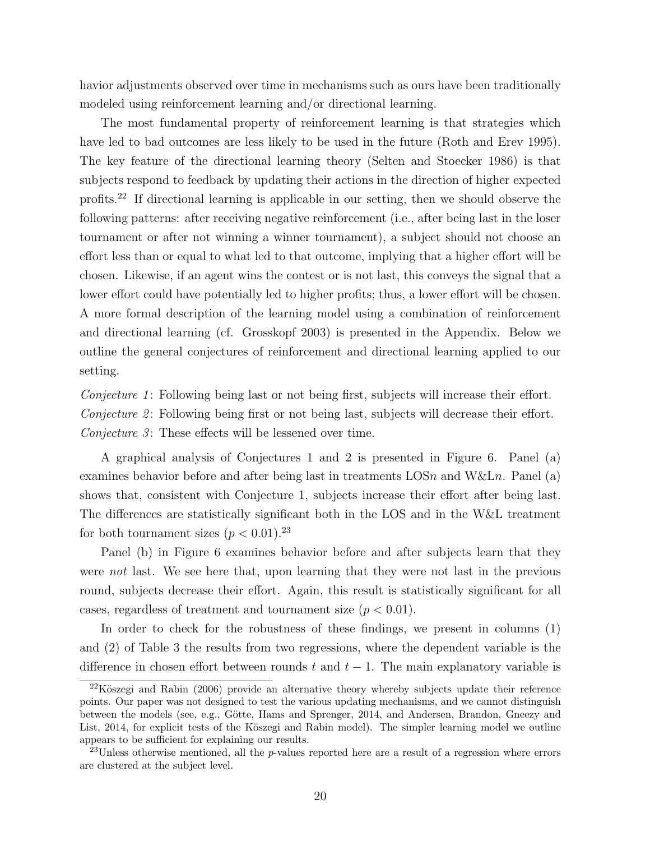havior adjustments observed over time in mechanisms such as ours have been traditionally modeled using reinforcement learning and/or directional learning.

The most fundamental property of reinforcement learning is that strategies which have led to bad outcomes are less likely to be used in the future (Roth and Erev 1995). The key feature of the directional learning theory (Selten and Stoecker 1986) is that subjects respond to feedback by updating their actions in the direction of higher expected profits.<sup>22</sup> If directional learning is applicable in our setting, then we should observe the following patterns: after receiving negative reinforcement (i.e., after being last in the loser tournament or after not winning a winner tournament), a subject should not choose an effort less than or equal to what led to that outcome, implying that a higher effort will be chosen. Likewise, if an agent wins the contest or is not last, this conveys the signal that a lower effort could have potentially led to higher profits; thus, a lower effort will be chosen. A more formal description of the learning model using a combination of reinforcement and directional learning (cf. Grosskopf 2003) is presented in the Appendix. Below we outline the general conjectures of reinforcement and directional learning applied to our setting.

Conjecture 1: Following being last or not being first, subjects will increase their effort. Conjecture 2: Following being first or not being last, subjects will decrease their effort. Conjecture  $\beta$ : These effects will be lessened over time.

A graphical analysis of Conjectures 1 and 2 is presented in Figure 6. Panel (a) examines behavior before and after being last in treatments  $\text{LOS}n$  and  $\text{W\&L}n$ . Panel (a) shows that, consistent with Conjecture 1, subjects increase their effort after being last. The differences are statistically significant both in the LOS and in the W&L treatment for both tournament sizes  $(p < 0.01)^{23}$ 

Panel (b) in Figure 6 examines behavior before and after subjects learn that they were not last. We see here that, upon learning that they were not last in the previous round, subjects decrease their effort. Again, this result is statistically significant for all cases, regardless of treatment and tournament size  $(p < 0.01)$ .

In order to check for the robustness of these findings, we present in columns (1) and (2) of Table 3 the results from two regressions, where the dependent variable is the difference in chosen effort between rounds t and  $t - 1$ . The main explanatory variable is

 $22K$ öszegi and Rabin (2006) provide an alternative theory whereby subjects update their reference points. Our paper was not designed to test the various updating mechanisms, and we cannot distinguish between the models (see, e.g., Götte, Hams and Sprenger, 2014, and Andersen, Brandon, Gneezy and List, 2014, for explicit tests of the Köszegi and Rabin model). The simpler learning model we outline appears to be sufficient for explaining our results.

 $^{23}$ Unless otherwise mentioned, all the p-values reported here are a result of a regression where errors are clustered at the subject level.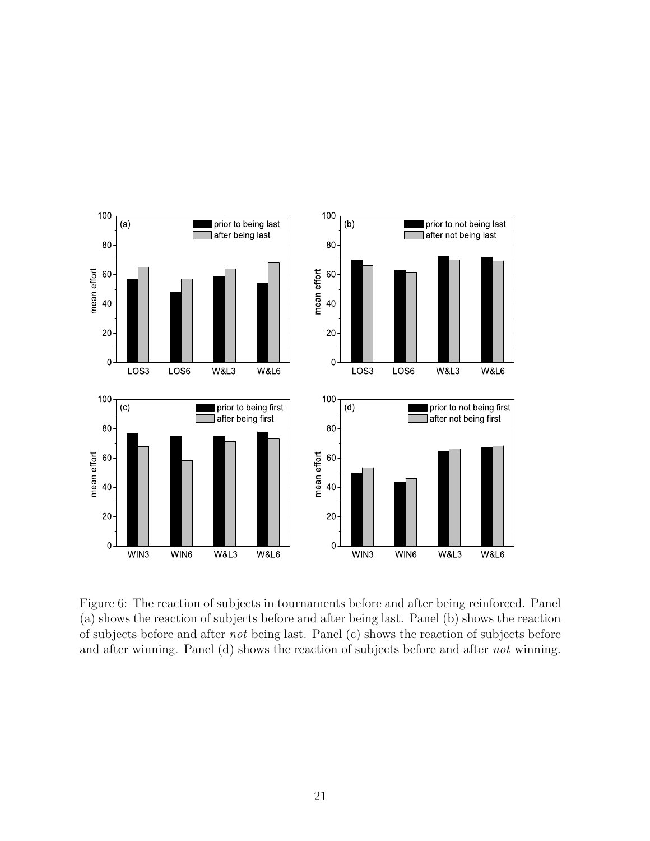

Figure 6: The reaction of subjects in tournaments before and after being reinforced. Panel (a) shows the reaction of subjects before and after being last. Panel (b) shows the reaction of subjects before and after not being last. Panel (c) shows the reaction of subjects before and after winning. Panel (d) shows the reaction of subjects before and after not winning.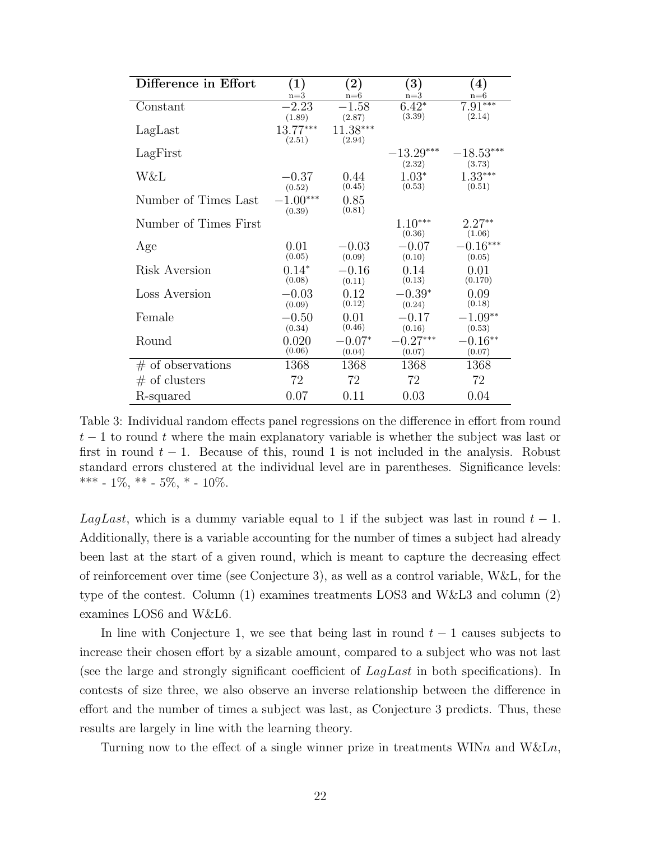| Difference in Effort  | (1)        | $\bf (2)$  | $\left( 3\right)$ | $\left( 4\right)$ |
|-----------------------|------------|------------|-------------------|-------------------|
|                       | $n=3$      | $n=6$      | $n=3$             | $n=6$             |
| Constant              | $-2.23$    | $-1.58$    | $6.42*$           | $7.91***$         |
|                       | (1.89)     | (2.87)     | (3.39)            | (2.14)            |
| LagLast               | 13.77***   | $11.38***$ |                   |                   |
|                       | (2.51)     | (2.94)     |                   |                   |
|                       |            |            | $-13.29***$       |                   |
| LagFirst              |            |            |                   | $-18.53***$       |
|                       |            |            | (2.32)            | (3.73)            |
| W&L                   | $-0.37$    | 0.44       | $1.03*$           | $1.33***$         |
|                       | (0.52)     | (0.45)     | (0.53)            | (0.51)            |
| Number of Times Last  | $-1.00***$ | 0.85       |                   |                   |
|                       | (0.39)     | (0.81)     |                   |                   |
| Number of Times First |            |            | $1.10***$         | $2.27**$          |
|                       |            |            | (0.36)            | (1.06)            |
| Age                   | 0.01       | $-0.03$    | $-0.07$           | $-0.16***$        |
|                       | (0.05)     | (0.09)     | (0.10)            | (0.05)            |
|                       |            |            |                   |                   |
| Risk Aversion         | $0.14*$    | $-0.16$    | 0.14              | 0.01              |
|                       | (0.08)     | (0.11)     | (0.13)            | (0.170)           |
| Loss Aversion         | $-0.03$    | 0.12       | $-0.39*$          | 0.09              |
|                       | (0.09)     | (0.12)     | (0.24)            | (0.18)            |
| Female                | $-0.50$    | 0.01       | $-0.17$           | $-1.09**$         |
|                       | (0.34)     | (0.46)     | (0.16)            | (0.53)            |
| Round                 | 0.020      | $-0.07*$   | $-0.27***$        | $-0.16**$         |
|                       | (0.06)     | (0.04)     | (0.07)            | (0.07)            |
|                       |            |            |                   |                   |
| $#$ of observations   | 1368       | 1368       | 1368              | 1368              |
| $#$ of clusters       | 72         | 72         | 72                | 72                |
| R-squared             | 0.07       | 0.11       | 0.03              | 0.04              |

Table 3: Individual random effects panel regressions on the difference in effort from round  $t-1$  to round t where the main explanatory variable is whether the subject was last or first in round  $t - 1$ . Because of this, round 1 is not included in the analysis. Robust standard errors clustered at the individual level are in parentheses. Significance levels: \*\*\* - 1%, \*\* - 5%, \* - 10%.

LagLast, which is a dummy variable equal to 1 if the subject was last in round  $t - 1$ . Additionally, there is a variable accounting for the number of times a subject had already been last at the start of a given round, which is meant to capture the decreasing effect of reinforcement over time (see Conjecture 3), as well as a control variable, W&L, for the type of the contest. Column (1) examines treatments LOS3 and W&L3 and column (2) examines LOS6 and W&L6.

In line with Conjecture 1, we see that being last in round  $t-1$  causes subjects to increase their chosen effort by a sizable amount, compared to a subject who was not last (see the large and strongly significant coefficient of LagLast in both specifications). In contests of size three, we also observe an inverse relationship between the difference in effort and the number of times a subject was last, as Conjecture 3 predicts. Thus, these results are largely in line with the learning theory.

Turning now to the effect of a single winner prize in treatments  $WINn$  and  $W\&Ln$ ,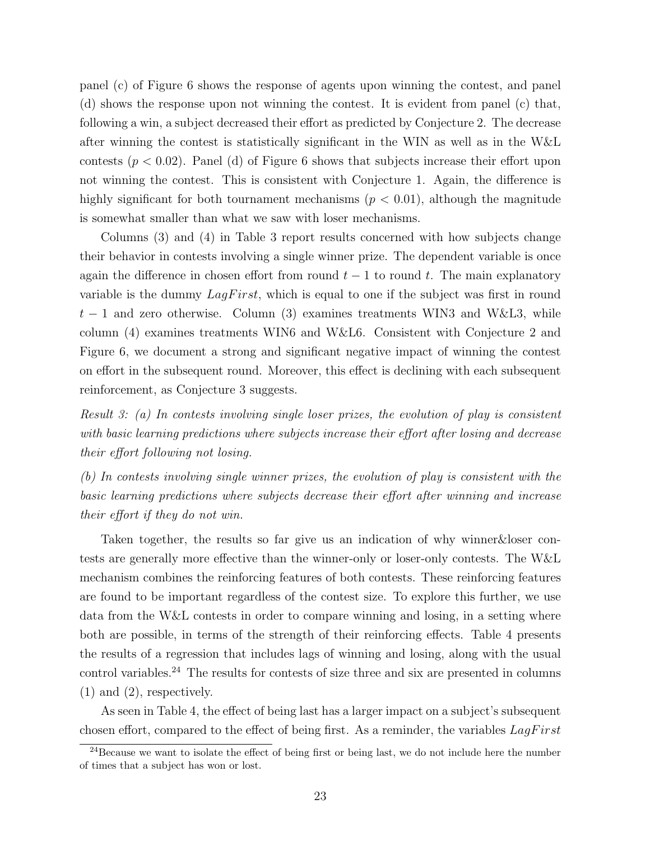panel (c) of Figure 6 shows the response of agents upon winning the contest, and panel (d) shows the response upon not winning the contest. It is evident from panel (c) that, following a win, a subject decreased their effort as predicted by Conjecture 2. The decrease after winning the contest is statistically significant in the WIN as well as in the W&L contests ( $p < 0.02$ ). Panel (d) of Figure 6 shows that subjects increase their effort upon not winning the contest. This is consistent with Conjecture 1. Again, the difference is highly significant for both tournament mechanisms ( $p < 0.01$ ), although the magnitude is somewhat smaller than what we saw with loser mechanisms.

Columns (3) and (4) in Table 3 report results concerned with how subjects change their behavior in contests involving a single winner prize. The dependent variable is once again the difference in chosen effort from round  $t - 1$  to round t. The main explanatory variable is the dummy  $LagFirst$ , which is equal to one if the subject was first in round  $t-1$  and zero otherwise. Column (3) examines treatments WIN3 and W&L3, while column (4) examines treatments WIN6 and W&L6. Consistent with Conjecture 2 and Figure 6, we document a strong and significant negative impact of winning the contest on effort in the subsequent round. Moreover, this effect is declining with each subsequent reinforcement, as Conjecture 3 suggests.

Result 3: (a) In contests involving single loser prizes, the evolution of play is consistent with basic learning predictions where subjects increase their effort after losing and decrease their effort following not losing.

(b) In contests involving single winner prizes, the evolution of play is consistent with the basic learning predictions where subjects decrease their effort after winning and increase their effort if they do not win.

Taken together, the results so far give us an indication of why winner&loser contests are generally more effective than the winner-only or loser-only contests. The W&L mechanism combines the reinforcing features of both contests. These reinforcing features are found to be important regardless of the contest size. To explore this further, we use data from the W&L contests in order to compare winning and losing, in a setting where both are possible, in terms of the strength of their reinforcing effects. Table 4 presents the results of a regression that includes lags of winning and losing, along with the usual control variables.<sup>24</sup> The results for contests of size three and six are presented in columns  $(1)$  and  $(2)$ , respectively.

As seen in Table 4, the effect of being last has a larger impact on a subject's subsequent chosen effort, compared to the effect of being first. As a reminder, the variables  $LagFirst$ 

 $^{24}$ Because we want to isolate the effect of being first or being last, we do not include here the number of times that a subject has won or lost.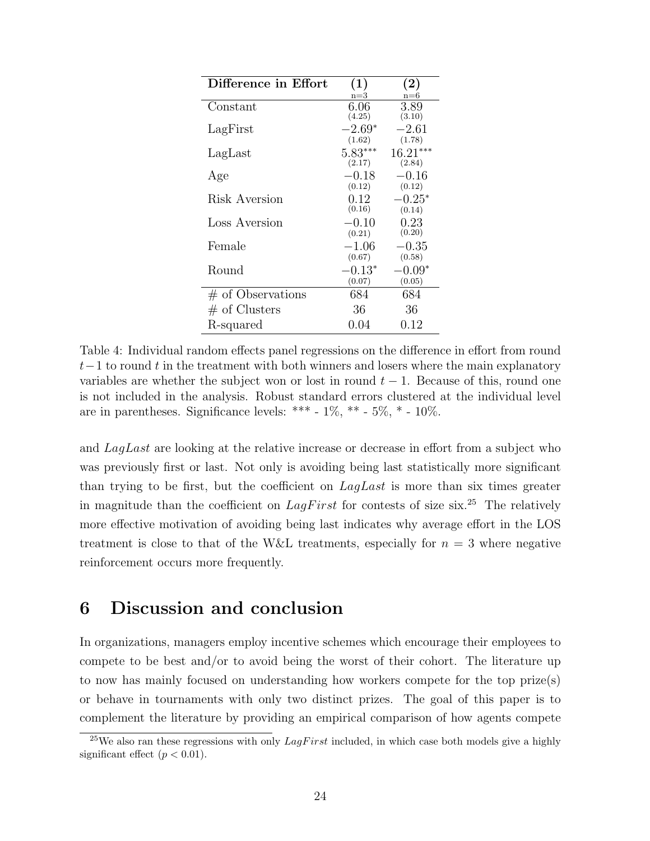| Difference in Effort | (1)            | $\bf (2)$      |
|----------------------|----------------|----------------|
|                      | $n=3$          | $n=6$          |
| Constant             | 6.06<br>(4.25) | 3.89<br>(3.10) |
| LagFirst             | $-2.69*$       | $-2.61$        |
|                      | (1.62)         | (1.78)         |
| LagLast              | $5.83***$      | $16.21***$     |
|                      | (2.17)         | (2.84)         |
| Age                  | $-0.18$        | $-0.16$        |
|                      | (0.12)         | (0.12)         |
| Risk Aversion        | $\rm 0.12$     | $-0.25*$       |
|                      | (0.16)         | (0.14)         |
| Loss Aversion        | $-0.10$        | 0.23           |
|                      | (0.21)         | (0.20)         |
| Female               | $-1.06$        | $-0.35$        |
|                      | (0.67)         | (0.58)         |
| Round                | $-0.13*$       | -0.09*         |
|                      | (0.07)         | (0.05)         |
| $\#$ of Observations | 684            | 684            |
| $#$ of Clusters      | 36             | 36             |
| R-squared            | $0.04\,$       | 0.12           |

Table 4: Individual random effects panel regressions on the difference in effort from round t  $t-1$  to round t in the treatment with both winners and losers where the main explanatory variables are whether the subject won or lost in round  $t - 1$ . Because of this, round one is not included in the analysis. Robust standard errors clustered at the individual level are in parentheses. Significance levels: \*\*\* -  $1\%$ , \*\* -  $5\%$ , \* -  $10\%$ .

and LagLast are looking at the relative increase or decrease in effort from a subject who was previously first or last. Not only is avoiding being last statistically more significant than trying to be first, but the coefficient on LagLast is more than six times greater in magnitude than the coefficient on  $LaqFirst$  for contests of size six.<sup>25</sup> The relatively more effective motivation of avoiding being last indicates why average effort in the LOS treatment is close to that of the W&L treatments, especially for  $n = 3$  where negative reinforcement occurs more frequently.

# 6 Discussion and conclusion

In organizations, managers employ incentive schemes which encourage their employees to compete to be best and/or to avoid being the worst of their cohort. The literature up to now has mainly focused on understanding how workers compete for the top prize(s) or behave in tournaments with only two distinct prizes. The goal of this paper is to complement the literature by providing an empirical comparison of how agents compete

<sup>&</sup>lt;sup>25</sup>We also ran these regressions with only  $LagFirst$  included, in which case both models give a highly significant effect ( $p < 0.01$ ).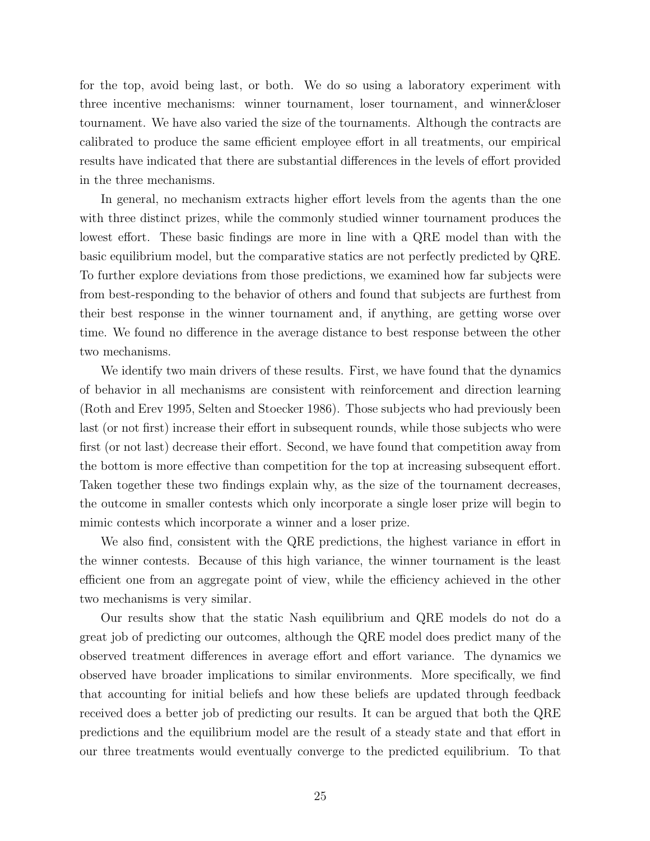for the top, avoid being last, or both. We do so using a laboratory experiment with three incentive mechanisms: winner tournament, loser tournament, and winner&loser tournament. We have also varied the size of the tournaments. Although the contracts are calibrated to produce the same efficient employee effort in all treatments, our empirical results have indicated that there are substantial differences in the levels of effort provided in the three mechanisms.

In general, no mechanism extracts higher effort levels from the agents than the one with three distinct prizes, while the commonly studied winner tournament produces the lowest effort. These basic findings are more in line with a QRE model than with the basic equilibrium model, but the comparative statics are not perfectly predicted by QRE. To further explore deviations from those predictions, we examined how far subjects were from best-responding to the behavior of others and found that subjects are furthest from their best response in the winner tournament and, if anything, are getting worse over time. We found no difference in the average distance to best response between the other two mechanisms.

We identify two main drivers of these results. First, we have found that the dynamics of behavior in all mechanisms are consistent with reinforcement and direction learning (Roth and Erev 1995, Selten and Stoecker 1986). Those subjects who had previously been last (or not first) increase their effort in subsequent rounds, while those subjects who were first (or not last) decrease their effort. Second, we have found that competition away from the bottom is more effective than competition for the top at increasing subsequent effort. Taken together these two findings explain why, as the size of the tournament decreases, the outcome in smaller contests which only incorporate a single loser prize will begin to mimic contests which incorporate a winner and a loser prize.

We also find, consistent with the QRE predictions, the highest variance in effort in the winner contests. Because of this high variance, the winner tournament is the least efficient one from an aggregate point of view, while the efficiency achieved in the other two mechanisms is very similar.

Our results show that the static Nash equilibrium and QRE models do not do a great job of predicting our outcomes, although the QRE model does predict many of the observed treatment differences in average effort and effort variance. The dynamics we observed have broader implications to similar environments. More specifically, we find that accounting for initial beliefs and how these beliefs are updated through feedback received does a better job of predicting our results. It can be argued that both the QRE predictions and the equilibrium model are the result of a steady state and that effort in our three treatments would eventually converge to the predicted equilibrium. To that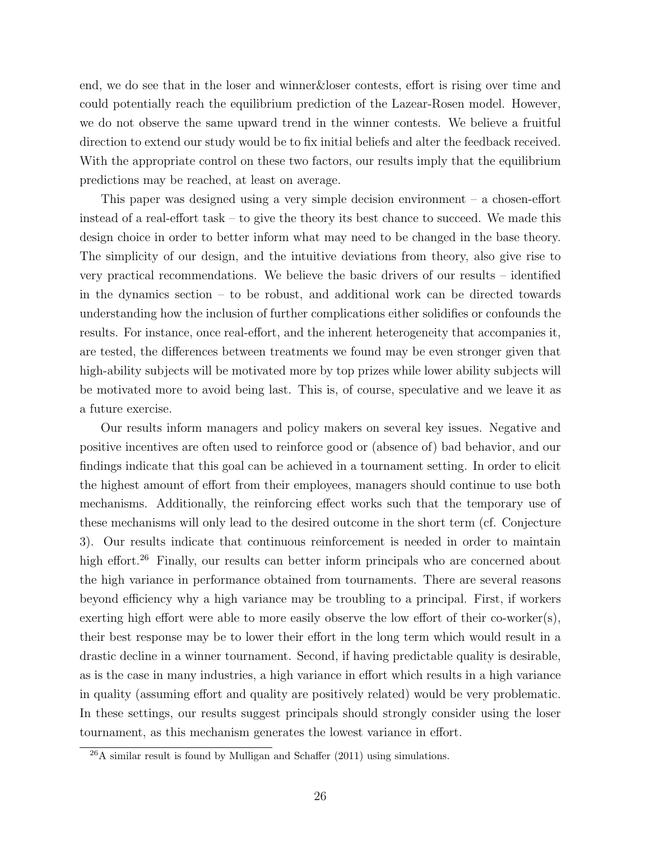end, we do see that in the loser and winner&loser contests, effort is rising over time and could potentially reach the equilibrium prediction of the Lazear-Rosen model. However, we do not observe the same upward trend in the winner contests. We believe a fruitful direction to extend our study would be to fix initial beliefs and alter the feedback received. With the appropriate control on these two factors, our results imply that the equilibrium predictions may be reached, at least on average.

This paper was designed using a very simple decision environment  $-$  a chosen-effort instead of a real-effort task – to give the theory its best chance to succeed. We made this design choice in order to better inform what may need to be changed in the base theory. The simplicity of our design, and the intuitive deviations from theory, also give rise to very practical recommendations. We believe the basic drivers of our results – identified in the dynamics section – to be robust, and additional work can be directed towards understanding how the inclusion of further complications either solidifies or confounds the results. For instance, once real-effort, and the inherent heterogeneity that accompanies it, are tested, the differences between treatments we found may be even stronger given that high-ability subjects will be motivated more by top prizes while lower ability subjects will be motivated more to avoid being last. This is, of course, speculative and we leave it as a future exercise.

Our results inform managers and policy makers on several key issues. Negative and positive incentives are often used to reinforce good or (absence of) bad behavior, and our findings indicate that this goal can be achieved in a tournament setting. In order to elicit the highest amount of effort from their employees, managers should continue to use both mechanisms. Additionally, the reinforcing effect works such that the temporary use of these mechanisms will only lead to the desired outcome in the short term (cf. Conjecture 3). Our results indicate that continuous reinforcement is needed in order to maintain high effort.<sup>26</sup> Finally, our results can better inform principals who are concerned about the high variance in performance obtained from tournaments. There are several reasons beyond efficiency why a high variance may be troubling to a principal. First, if workers exerting high effort were able to more easily observe the low effort of their co-worker(s), their best response may be to lower their effort in the long term which would result in a drastic decline in a winner tournament. Second, if having predictable quality is desirable, as is the case in many industries, a high variance in effort which results in a high variance in quality (assuming effort and quality are positively related) would be very problematic. In these settings, our results suggest principals should strongly consider using the loser tournament, as this mechanism generates the lowest variance in effort.

<sup>26</sup>A similar result is found by Mulligan and Schaffer (2011) using simulations.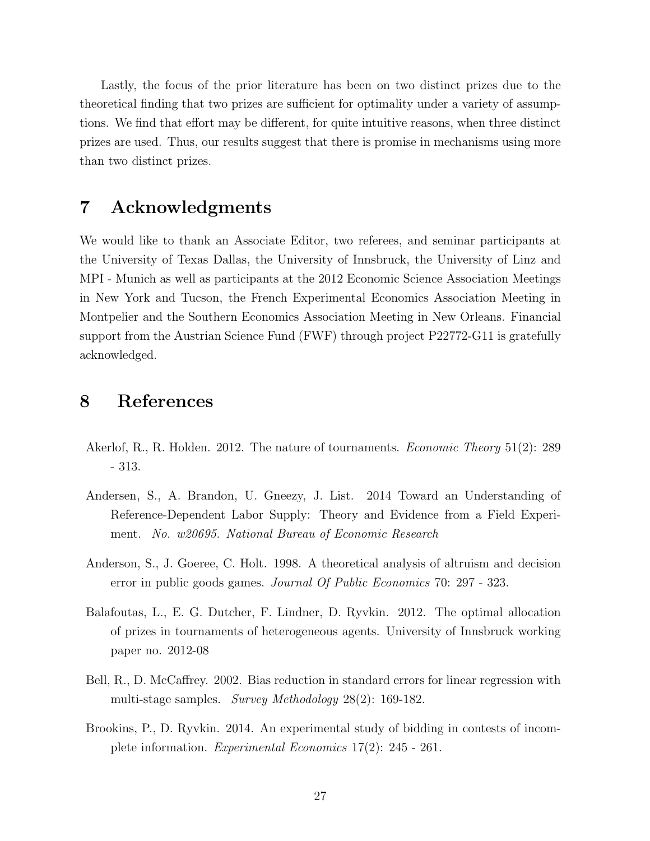Lastly, the focus of the prior literature has been on two distinct prizes due to the theoretical finding that two prizes are sufficient for optimality under a variety of assumptions. We find that effort may be different, for quite intuitive reasons, when three distinct prizes are used. Thus, our results suggest that there is promise in mechanisms using more than two distinct prizes.

### 7 Acknowledgments

We would like to thank an Associate Editor, two referees, and seminar participants at the University of Texas Dallas, the University of Innsbruck, the University of Linz and MPI - Munich as well as participants at the 2012 Economic Science Association Meetings in New York and Tucson, the French Experimental Economics Association Meeting in Montpelier and the Southern Economics Association Meeting in New Orleans. Financial support from the Austrian Science Fund (FWF) through project P22772-G11 is gratefully acknowledged.

### 8 References

- Akerlof, R., R. Holden. 2012. The nature of tournaments. *Economic Theory* 51(2): 289 - 313.
- Andersen, S., A. Brandon, U. Gneezy, J. List. 2014 Toward an Understanding of Reference-Dependent Labor Supply: Theory and Evidence from a Field Experiment. No. w20695. National Bureau of Economic Research
- Anderson, S., J. Goeree, C. Holt. 1998. A theoretical analysis of altruism and decision error in public goods games. *Journal Of Public Economics* 70: 297 - 323.
- Balafoutas, L., E. G. Dutcher, F. Lindner, D. Ryvkin. 2012. The optimal allocation of prizes in tournaments of heterogeneous agents. University of Innsbruck working paper no. 2012-08
- Bell, R., D. McCaffrey. 2002. Bias reduction in standard errors for linear regression with multi-stage samples. Survey Methodology 28(2): 169-182.
- Brookins, P., D. Ryvkin. 2014. An experimental study of bidding in contests of incomplete information. Experimental Economics 17(2): 245 - 261.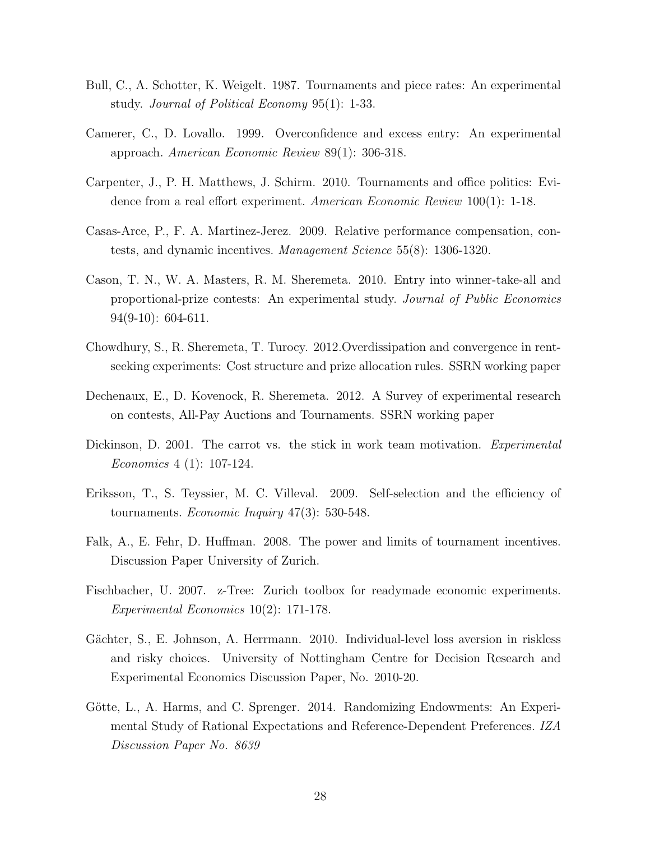- Bull, C., A. Schotter, K. Weigelt. 1987. Tournaments and piece rates: An experimental study. Journal of Political Economy 95(1): 1-33.
- Camerer, C., D. Lovallo. 1999. Overconfidence and excess entry: An experimental approach. American Economic Review 89(1): 306-318.
- Carpenter, J., P. H. Matthews, J. Schirm. 2010. Tournaments and office politics: Evidence from a real effort experiment. American Economic Review 100(1): 1-18.
- Casas-Arce, P., F. A. Martinez-Jerez. 2009. Relative performance compensation, contests, and dynamic incentives. Management Science 55(8): 1306-1320.
- Cason, T. N., W. A. Masters, R. M. Sheremeta. 2010. Entry into winner-take-all and proportional-prize contests: An experimental study. Journal of Public Economics 94(9-10): 604-611.
- Chowdhury, S., R. Sheremeta, T. Turocy. 2012.Overdissipation and convergence in rentseeking experiments: Cost structure and prize allocation rules. SSRN working paper
- Dechenaux, E., D. Kovenock, R. Sheremeta. 2012. A Survey of experimental research on contests, All-Pay Auctions and Tournaments. SSRN working paper
- Dickinson, D. 2001. The carrot vs. the stick in work team motivation. *Experimental* Economics 4 (1): 107-124.
- Eriksson, T., S. Teyssier, M. C. Villeval. 2009. Self-selection and the efficiency of tournaments. Economic Inquiry 47(3): 530-548.
- Falk, A., E. Fehr, D. Huffman. 2008. The power and limits of tournament incentives. Discussion Paper University of Zurich.
- Fischbacher, U. 2007. z-Tree: Zurich toolbox for readymade economic experiments. Experimental Economics 10(2): 171-178.
- Gächter, S., E. Johnson, A. Herrmann. 2010. Individual-level loss aversion in riskless and risky choices. University of Nottingham Centre for Decision Research and Experimental Economics Discussion Paper, No. 2010-20.
- Götte, L., A. Harms, and C. Sprenger. 2014. Randomizing Endowments: An Experimental Study of Rational Expectations and Reference-Dependent Preferences. IZA Discussion Paper No. 8639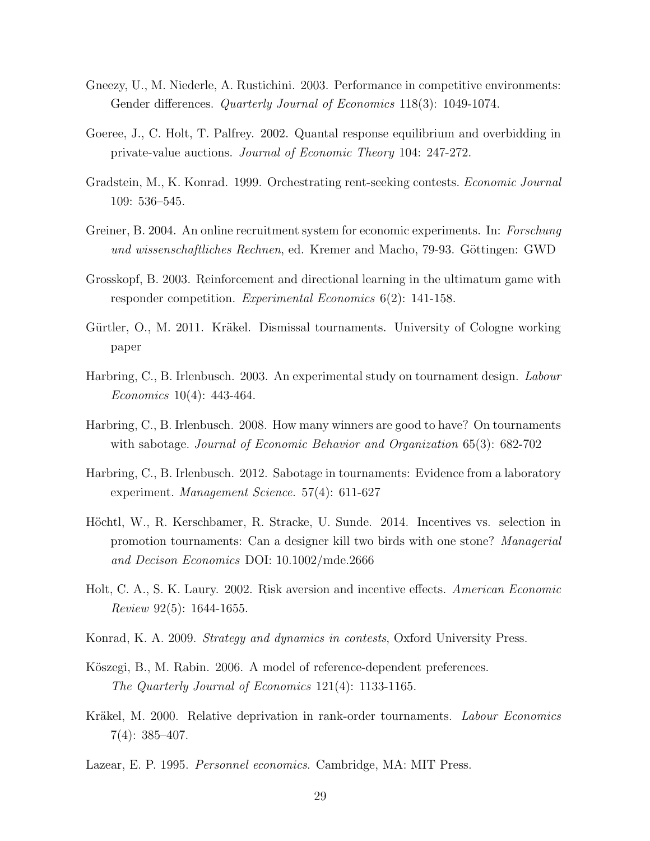- Gneezy, U., M. Niederle, A. Rustichini. 2003. Performance in competitive environments: Gender differences. *Quarterly Journal of Economics* 118(3): 1049-1074.
- Goeree, J., C. Holt, T. Palfrey. 2002. Quantal response equilibrium and overbidding in private-value auctions. Journal of Economic Theory 104: 247-272.
- Gradstein, M., K. Konrad. 1999. Orchestrating rent-seeking contests. Economic Journal 109: 536–545.
- Greiner, B. 2004. An online recruitment system for economic experiments. In: Forschung und wissenschaftliches Rechnen, ed. Kremer and Macho, 79-93. Göttingen: GWD
- Grosskopf, B. 2003. Reinforcement and directional learning in the ultimatum game with responder competition. Experimental Economics 6(2): 141-158.
- Gürtler, O., M. 2011. Kräkel. Dismissal tournaments. University of Cologne working paper
- Harbring, C., B. Irlenbusch. 2003. An experimental study on tournament design. Labour Economics 10(4): 443-464.
- Harbring, C., B. Irlenbusch. 2008. How many winners are good to have? On tournaments with sabotage. Journal of Economic Behavior and Organization 65(3): 682-702
- Harbring, C., B. Irlenbusch. 2012. Sabotage in tournaments: Evidence from a laboratory experiment. Management Science. 57(4): 611-627
- Höchtl, W., R. Kerschbamer, R. Stracke, U. Sunde. 2014. Incentives vs. selection in promotion tournaments: Can a designer kill two birds with one stone? Managerial and Decison Economics DOI: 10.1002/mde.2666
- Holt, C. A., S. K. Laury. 2002. Risk aversion and incentive effects. American Economic Review 92(5): 1644-1655.
- Konrad, K. A. 2009. Strategy and dynamics in contests, Oxford University Press.
- Köszegi, B., M. Rabin. 2006. A model of reference-dependent preferences. The Quarterly Journal of Economics 121(4): 1133-1165.
- Kräkel, M. 2000. Relative deprivation in rank-order tournaments. Labour Economics 7(4): 385–407.
- Lazear, E. P. 1995. Personnel economics. Cambridge, MA: MIT Press.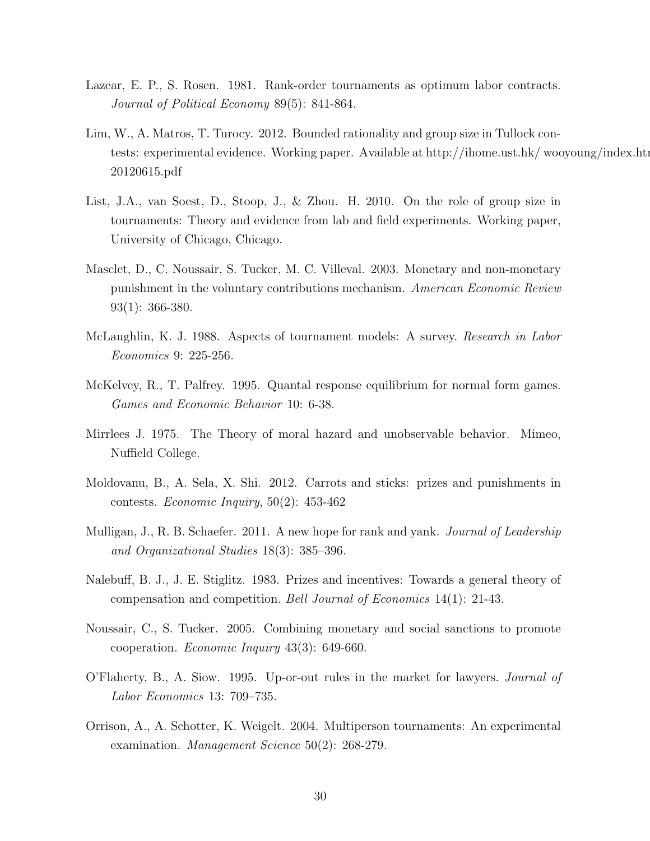- Lazear, E. P., S. Rosen. 1981. Rank-order tournaments as optimum labor contracts. Journal of Political Economy 89(5): 841-864.
- Lim, W., A. Matros, T. Turocy. 2012. Bounded rationality and group size in Tullock contests: experimental evidence. Working paper. Available at http://ihome.ust.hk/wooyoung/index.html 20120615.pdf
- List, J.A., van Soest, D., Stoop, J., & Zhou. H. 2010. On the role of group size in tournaments: Theory and evidence from lab and field experiments. Working paper, University of Chicago, Chicago.
- Masclet, D., C. Noussair, S. Tucker, M. C. Villeval. 2003. Monetary and non-monetary punishment in the voluntary contributions mechanism. American Economic Review 93(1): 366-380.
- McLaughlin, K. J. 1988. Aspects of tournament models: A survey. Research in Labor Economics 9: 225-256.
- McKelvey, R., T. Palfrey. 1995. Quantal response equilibrium for normal form games. Games and Economic Behavior 10: 6-38.
- Mirrlees J. 1975. The Theory of moral hazard and unobservable behavior. Mimeo, Nuffield College.
- Moldovanu, B., A. Sela, X. Shi. 2012. Carrots and sticks: prizes and punishments in contests. Economic Inquiry,  $50(2)$ : 453-462
- Mulligan, J., R. B. Schaefer. 2011. A new hope for rank and yank. Journal of Leadership and Organizational Studies 18(3): 385–396.
- Nalebuff, B. J., J. E. Stiglitz. 1983. Prizes and incentives: Towards a general theory of compensation and competition. Bell Journal of Economics 14(1): 21-43.
- Noussair, C., S. Tucker. 2005. Combining monetary and social sanctions to promote cooperation. Economic Inquiry 43(3): 649-660.
- O'Flaherty, B., A. Siow. 1995. Up-or-out rules in the market for lawyers. Journal of Labor Economics 13: 709–735.
- Orrison, A., A. Schotter, K. Weigelt. 2004. Multiperson tournaments: An experimental examination. Management Science 50(2): 268-279.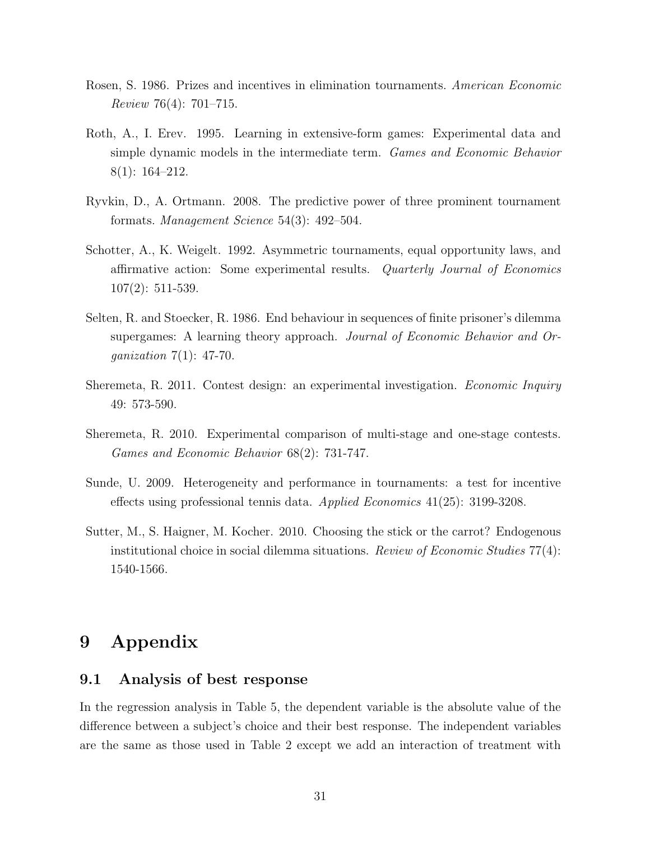- Rosen, S. 1986. Prizes and incentives in elimination tournaments. American Economic Review 76(4): 701–715.
- Roth, A., I. Erev. 1995. Learning in extensive-form games: Experimental data and simple dynamic models in the intermediate term. Games and Economic Behavior 8(1): 164–212.
- Ryvkin, D., A. Ortmann. 2008. The predictive power of three prominent tournament formats. Management Science 54(3): 492–504.
- Schotter, A., K. Weigelt. 1992. Asymmetric tournaments, equal opportunity laws, and affirmative action: Some experimental results. Quarterly Journal of Economics 107(2): 511-539.
- Selten, R. and Stoecker, R. 1986. End behaviour in sequences of finite prisoner's dilemma supergames: A learning theory approach. Journal of Economic Behavior and Organization 7(1): 47-70.
- Sheremeta, R. 2011. Contest design: an experimental investigation. Economic Inquiry 49: 573-590.
- Sheremeta, R. 2010. Experimental comparison of multi-stage and one-stage contests. Games and Economic Behavior 68(2): 731-747.
- Sunde, U. 2009. Heterogeneity and performance in tournaments: a test for incentive effects using professional tennis data. Applied Economics 41(25): 3199-3208.
- Sutter, M., S. Haigner, M. Kocher. 2010. Choosing the stick or the carrot? Endogenous institutional choice in social dilemma situations. Review of Economic Studies  $77(4)$ : 1540-1566.

# 9 Appendix

### 9.1 Analysis of best response

In the regression analysis in Table 5, the dependent variable is the absolute value of the difference between a subject's choice and their best response. The independent variables are the same as those used in Table 2 except we add an interaction of treatment with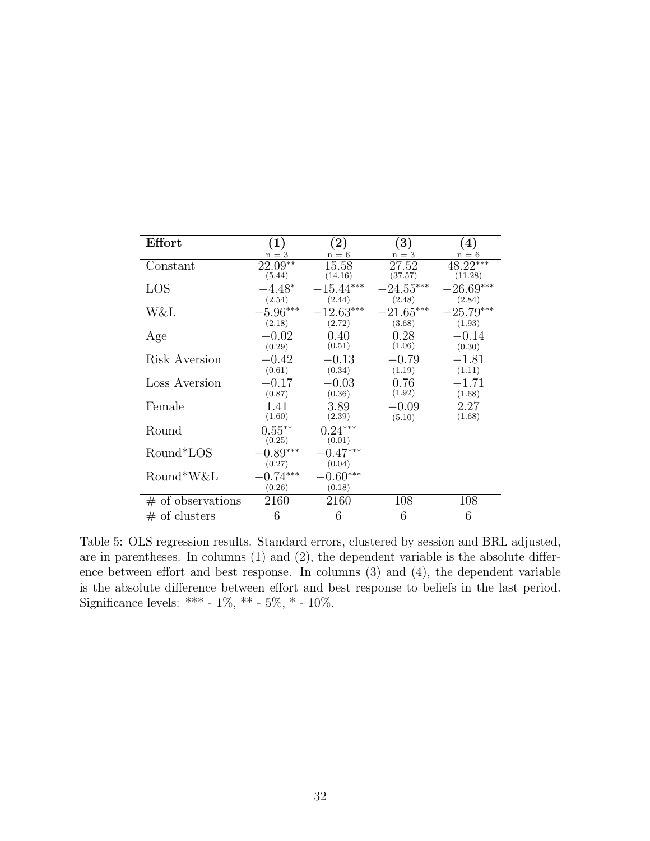| Effort               | (1)        | $\rm(2)$    | (3)         | $\left( 4\right)$ |
|----------------------|------------|-------------|-------------|-------------------|
|                      | $n = 3$    | $n = 6$     | $n = 3$     | $n = 6$           |
| Constant             | $22.09**$  | 15.58       | 27.52       | 48.22***          |
|                      | (5.44)     | (14.16)     | (37.57)     | (11.28)           |
| LOS                  | $-4.48*$   | $-15.44***$ | $-24.55***$ | $-26.69***$       |
|                      | (2.54)     | (2.44)      | (2.48)      | (2.84)            |
| W&L                  | $-5.96***$ | $-12.63***$ | $-21.65***$ | $-25.79***$       |
|                      | (2.18)     | (2.72)      | (3.68)      | (1.93)            |
| Age                  | $-0.02$    | 0.40        | 0.28        | $-0.14$           |
|                      | (0.29)     | (0.51)      | (1.06)      | (0.30)            |
| Risk Aversion        | $-0.42$    | $-0.13$     | $-0.79$     | $-1.81$           |
|                      | (0.61)     | (0.34)      | (1.19)      | (1.11)            |
| Loss Aversion        | $-0.17$    | $-0.03$     | 0.76        | $-1.71$           |
|                      | (0.87)     | (0.36)      | (1.92)      | (1.68)            |
| Female               | 1.41       | 3.89        | $-0.09$     | 2.27              |
|                      | (1.60)     | (2.39)      | (5.10)      | (1.68)            |
| Round                | $0.55***$  | $0.24***$   |             |                   |
|                      | (0.25)     | (0.01)      |             |                   |
| Round*LOS            | $-0.89***$ | $-0.47***$  |             |                   |
|                      | (0.27)     | (0.04)      |             |                   |
| Round*W&L            | $0.74***$  | $0.60***$   |             |                   |
|                      | (0.26)     | (0.18)      |             |                   |
| $\#$ of observations | 2160       | 2160        | 108         | 108               |
| $#$ of clusters      | 6          | 6           | 6           | 6                 |

Table 5: OLS regression results. Standard errors, clustered by session and BRL adjusted, are in parentheses. In columns (1) and (2), the dependent variable is the absolute difference between effort and best response. In columns (3) and (4), the dependent variable is the absolute difference between effort and best response to beliefs in the last period. Significance levels: \*\*\* - 1%, \*\* - 5%, \* - 10%.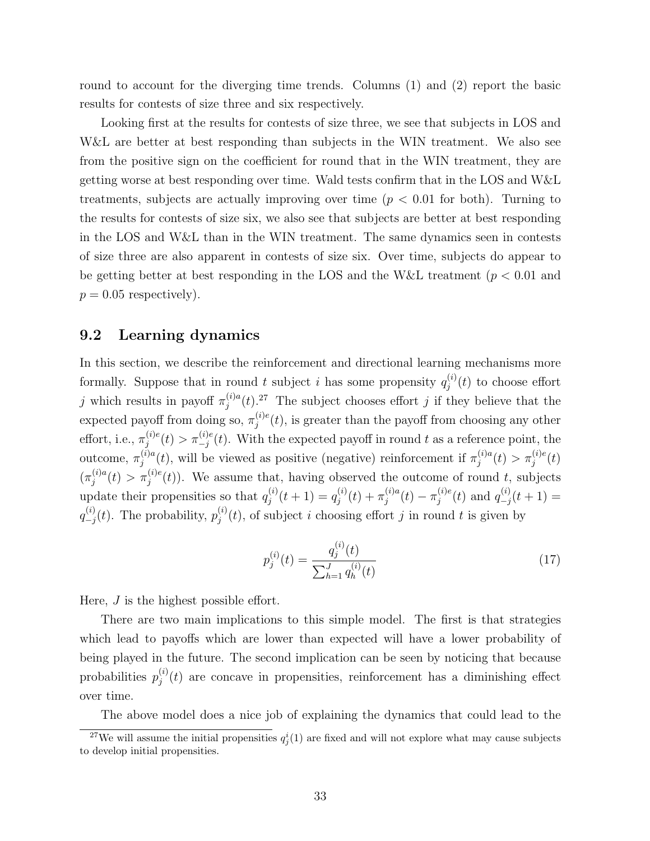round to account for the diverging time trends. Columns (1) and (2) report the basic results for contests of size three and six respectively.

Looking first at the results for contests of size three, we see that subjects in LOS and W&L are better at best responding than subjects in the WIN treatment. We also see from the positive sign on the coefficient for round that in the WIN treatment, they are getting worse at best responding over time. Wald tests confirm that in the LOS and W&L treatments, subjects are actually improving over time  $(p < 0.01$  for both). Turning to the results for contests of size six, we also see that subjects are better at best responding in the LOS and W&L than in the WIN treatment. The same dynamics seen in contests of size three are also apparent in contests of size six. Over time, subjects do appear to be getting better at best responding in the LOS and the W&L treatment ( $p < 0.01$ ) and  $p = 0.05$  respectively).

### 9.2 Learning dynamics

In this section, we describe the reinforcement and directional learning mechanisms more formally. Suppose that in round t subject i has some propensity  $q_i^{(i)}$  $j^{(i)}(t)$  to choose effort j which results in payoff  $\pi_i^{(i)a}$  $j^{(i)a}(t)$ .<sup>27</sup> The subject chooses effort j if they believe that the expected payoff from doing so,  $\pi_i^{(i)e}$  $j^{(t)e}(t)$ , is greater than the payoff from choosing any other effort, i.e.,  $\pi_i^{(i)e}$  $j_j^{(i)e}(t) > \pi_{-j}^{(i)e}(t)$ . With the expected payoff in round t as a reference point, the outcome,  $\pi_i^{(i)a}$  $j_j^{(i)a}(t)$ , will be viewed as positive (negative) reinforcement if  $\pi_j^{(i)a}$  $j_j^{(i)a}(t) > \pi_j^{(i)e}(t)$  $(\pi_i^{(i)a}$  $j_j^{(i)a}(t) > \pi_j^{(i)e}(t)$ . We assume that, having observed the outcome of round t, subjects update their propensities so that  $q_i^{(i)}$  $j^{(i)}(t+1) = q_j^{(i)}$  $j^{(i)}(t)+\pi^{(i)a}_j$  $j^{(i)a}(t)-\pi^{(i)e}_j$  $j^{(i)e}(t)$  and  $q_{-j}^{(i)}$  $\binom{u}{-j}(t+1) =$  $q_{-i}^{(i)}$  $\binom{(i)}{-j}(t)$ . The probability,  $p_j^{(i)}$  $j^{(i)}(t)$ , of subject i choosing effort j in round t is given by

$$
p_j^{(i)}(t) = \frac{q_j^{(i)}(t)}{\sum_{h=1}^J q_h^{(i)}(t)}
$$
\n(17)

Here, J is the highest possible effort.

There are two main implications to this simple model. The first is that strategies which lead to payoffs which are lower than expected will have a lower probability of being played in the future. The second implication can be seen by noticing that because probabilities  $p_i^{(i)}$  $j^{(i)}(t)$  are concave in propensities, reinforcement has a diminishing effect over time.

The above model does a nice job of explaining the dynamics that could lead to the

<sup>&</sup>lt;sup>27</sup>We will assume the initial propensities  $q_j^i(1)$  are fixed and will not explore what may cause subjects to develop initial propensities.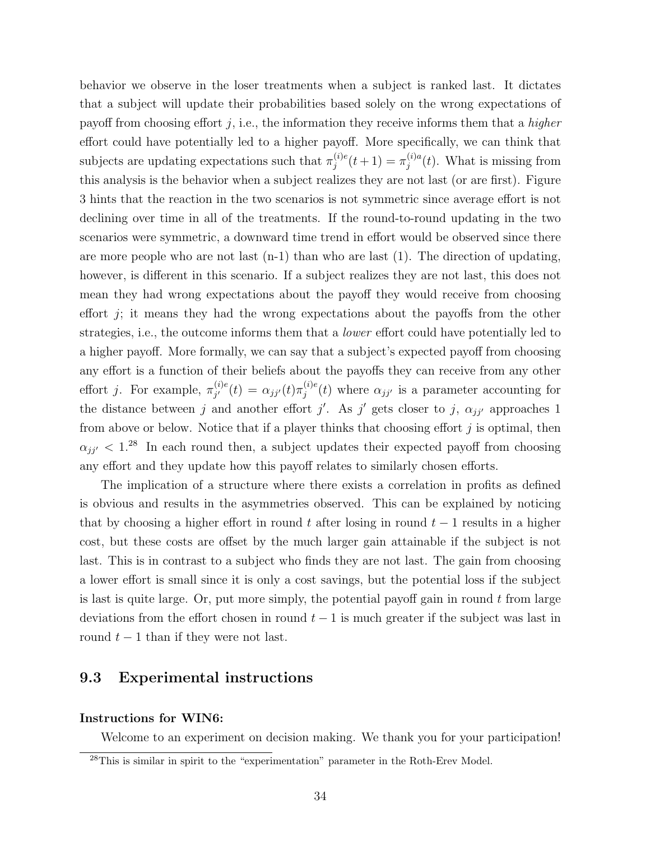behavior we observe in the loser treatments when a subject is ranked last. It dictates that a subject will update their probabilities based solely on the wrong expectations of payoff from choosing effort j, i.e., the information they receive informs them that a higher effort could have potentially led to a higher payoff. More specifically, we can think that subjects are updating expectations such that  $\pi_i^{(i)e}$  $j_j^{(i)e}(t+1) = \pi_j^{(i)a}$  $j_j^{(t)a}(t)$ . What is missing from this analysis is the behavior when a subject realizes they are not last (or are first). Figure 3 hints that the reaction in the two scenarios is not symmetric since average effort is not declining over time in all of the treatments. If the round-to-round updating in the two scenarios were symmetric, a downward time trend in effort would be observed since there are more people who are not last (n-1) than who are last (1). The direction of updating, however, is different in this scenario. If a subject realizes they are not last, this does not mean they had wrong expectations about the payoff they would receive from choosing effort  $j$ ; it means they had the wrong expectations about the payoffs from the other strategies, i.e., the outcome informs them that a lower effort could have potentially led to a higher payoff. More formally, we can say that a subject's expected payoff from choosing any effort is a function of their beliefs about the payoffs they can receive from any other effort j. For example,  $\pi_{i'}^{(i)e}$  $j_j^{(i)e}(t)\,=\,\alpha_{jj'}(t)\pi_j^{(i)e}$  $j^{(i)e}(t)$  where  $\alpha_{jj'}$  is a parameter accounting for the distance between j and another effort j'. As j' gets closer to j,  $\alpha_{jj'}$  approaches 1 from above or below. Notice that if a player thinks that choosing effort  $j$  is optimal, then  $\alpha_{ji'}$  < 1.<sup>28</sup> In each round then, a subject updates their expected payoff from choosing any effort and they update how this payoff relates to similarly chosen efforts.

The implication of a structure where there exists a correlation in profits as defined is obvious and results in the asymmetries observed. This can be explained by noticing that by choosing a higher effort in round t after losing in round  $t-1$  results in a higher cost, but these costs are offset by the much larger gain attainable if the subject is not last. This is in contrast to a subject who finds they are not last. The gain from choosing a lower effort is small since it is only a cost savings, but the potential loss if the subject is last is quite large. Or, put more simply, the potential payoff gain in round  $t$  from large deviations from the effort chosen in round  $t-1$  is much greater if the subject was last in round  $t - 1$  than if they were not last.

#### 9.3 Experimental instructions

#### Instructions for WIN6:

Welcome to an experiment on decision making. We thank you for your participation!

<sup>&</sup>lt;sup>28</sup>This is similar in spirit to the "experimentation" parameter in the Roth-Erev Model.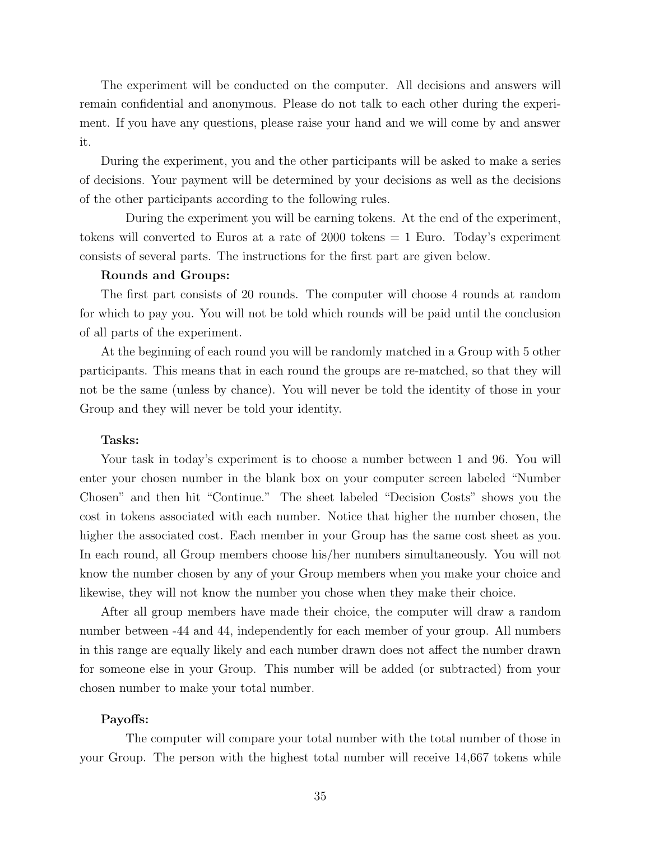The experiment will be conducted on the computer. All decisions and answers will remain confidential and anonymous. Please do not talk to each other during the experiment. If you have any questions, please raise your hand and we will come by and answer it.

During the experiment, you and the other participants will be asked to make a series of decisions. Your payment will be determined by your decisions as well as the decisions of the other participants according to the following rules.

During the experiment you will be earning tokens. At the end of the experiment, tokens will converted to Euros at a rate of 2000 tokens = 1 Euro. Today's experiment consists of several parts. The instructions for the first part are given below.

#### Rounds and Groups:

The first part consists of 20 rounds. The computer will choose 4 rounds at random for which to pay you. You will not be told which rounds will be paid until the conclusion of all parts of the experiment.

At the beginning of each round you will be randomly matched in a Group with 5 other participants. This means that in each round the groups are re-matched, so that they will not be the same (unless by chance). You will never be told the identity of those in your Group and they will never be told your identity.

#### Tasks:

Your task in today's experiment is to choose a number between 1 and 96. You will enter your chosen number in the blank box on your computer screen labeled "Number Chosen" and then hit "Continue." The sheet labeled "Decision Costs" shows you the cost in tokens associated with each number. Notice that higher the number chosen, the higher the associated cost. Each member in your Group has the same cost sheet as you. In each round, all Group members choose his/her numbers simultaneously. You will not know the number chosen by any of your Group members when you make your choice and likewise, they will not know the number you chose when they make their choice.

After all group members have made their choice, the computer will draw a random number between -44 and 44, independently for each member of your group. All numbers in this range are equally likely and each number drawn does not affect the number drawn for someone else in your Group. This number will be added (or subtracted) from your chosen number to make your total number.

#### Payoffs:

The computer will compare your total number with the total number of those in your Group. The person with the highest total number will receive 14,667 tokens while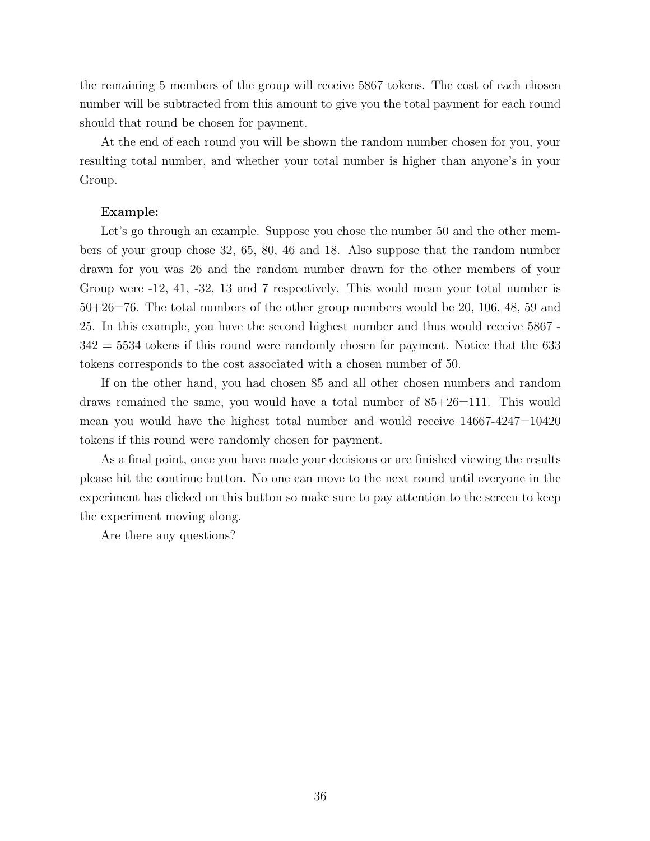the remaining 5 members of the group will receive 5867 tokens. The cost of each chosen number will be subtracted from this amount to give you the total payment for each round should that round be chosen for payment.

At the end of each round you will be shown the random number chosen for you, your resulting total number, and whether your total number is higher than anyone's in your Group.

#### Example:

Let's go through an example. Suppose you chose the number 50 and the other members of your group chose 32, 65, 80, 46 and 18. Also suppose that the random number drawn for you was 26 and the random number drawn for the other members of your Group were -12, 41, -32, 13 and 7 respectively. This would mean your total number is 50+26=76. The total numbers of the other group members would be 20, 106, 48, 59 and 25. In this example, you have the second highest number and thus would receive 5867 - 342 = 5534 tokens if this round were randomly chosen for payment. Notice that the 633 tokens corresponds to the cost associated with a chosen number of 50.

If on the other hand, you had chosen 85 and all other chosen numbers and random draws remained the same, you would have a total number of 85+26=111. This would mean you would have the highest total number and would receive 14667-4247=10420 tokens if this round were randomly chosen for payment.

As a final point, once you have made your decisions or are finished viewing the results please hit the continue button. No one can move to the next round until everyone in the experiment has clicked on this button so make sure to pay attention to the screen to keep the experiment moving along.

Are there any questions?